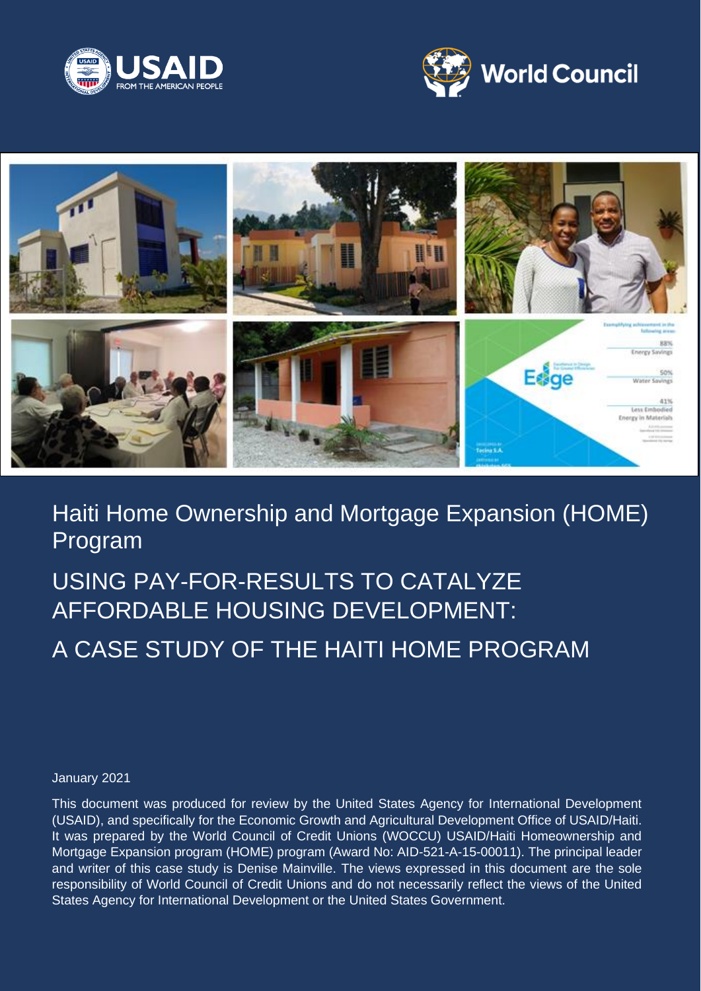





# Haiti Home Ownership and Mortgage Expansion (HOME) Program

# USING PAY-FOR-RESULTS TO CATALYZE AFFORDABLE HOUSING DEVELOPMENT:

# A CASE STUDY OF THE HAITI HOME PROGRAM

#### January 2021

This document was produced for review by the United States Agency for International Development (USAID), and specifically for the Economic Growth and Agricultural Development Office of USAID/Haiti. It was prepared by the World Council of Credit Unions (WOCCU) USAID/Haiti Homeownership and Mortgage Expansion program (HOME) program (Award No: AID-521-A-15-00011). The principal leader and writer of this case study is Denise Mainville. The views expressed in this document are the sole responsibility of World Council of Credit Unions and do not necessarily reflect the views of the United States Agency for International Development or the United States Government.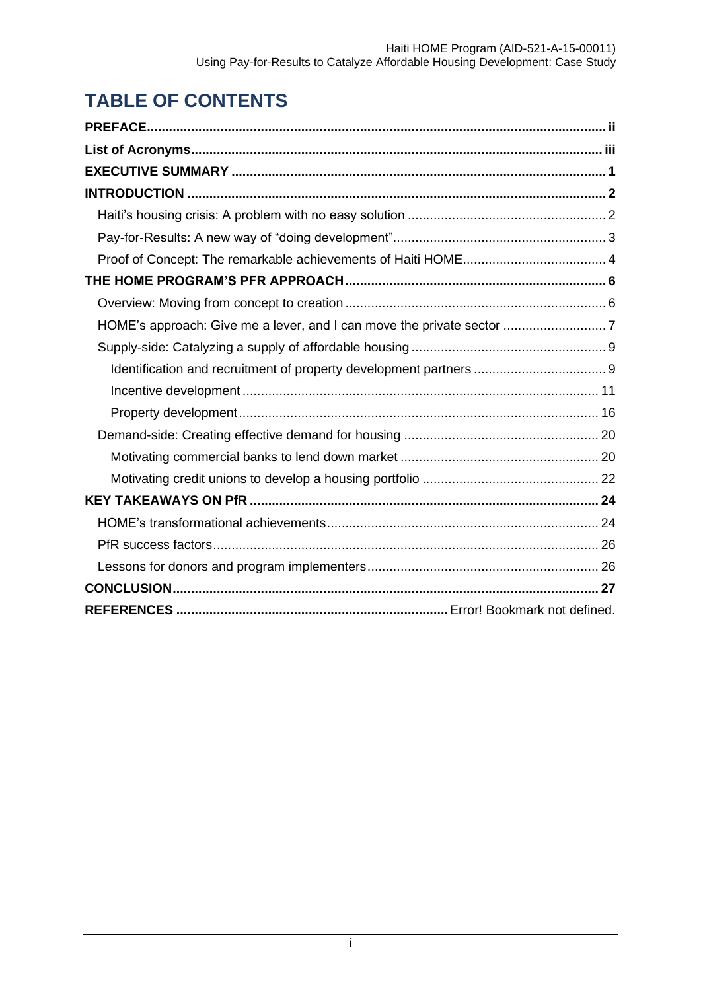# **TABLE OF CONTENTS**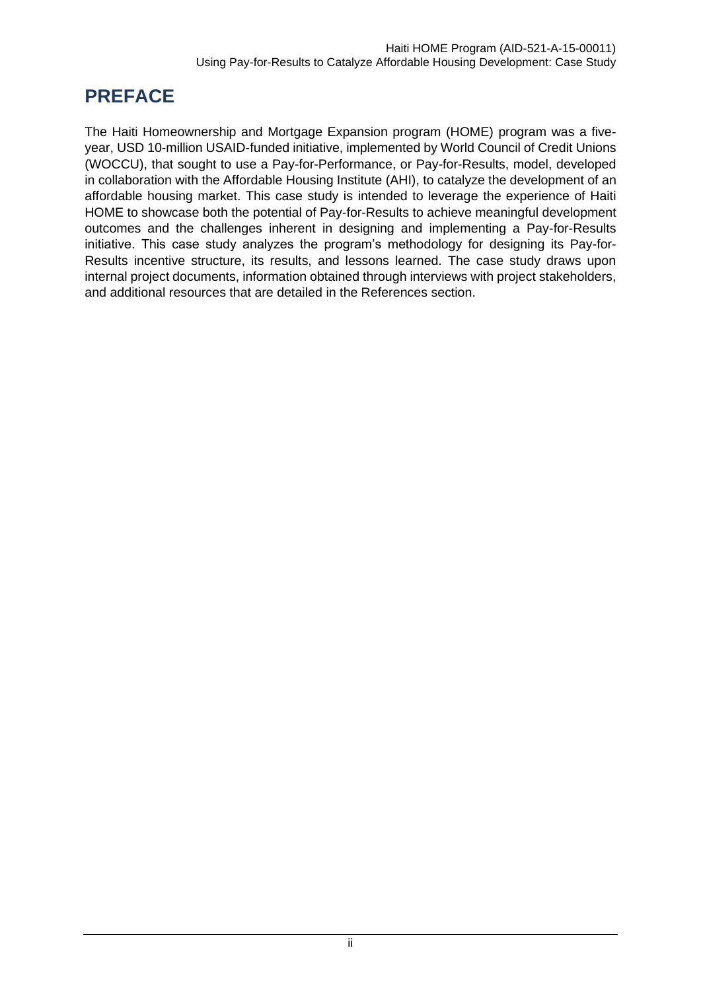# <span id="page-2-0"></span>**PREFACE**

The Haiti Homeownership and Mortgage Expansion program (HOME) program was a fiveyear, USD 10-million USAID-funded initiative, implemented by World Council of Credit Unions (WOCCU), that sought to use a Pay-for-Performance, or Pay-for-Results, model, developed in collaboration with the Affordable Housing Institute (AHI), to catalyze the development of an affordable housing market. This case study is intended to leverage the experience of Haiti HOME to showcase both the potential of Pay-for-Results to achieve meaningful development outcomes and the challenges inherent in designing and implementing a Pay-for-Results initiative. This case study analyzes the program's methodology for designing its Pay-for-Results incentive structure, its results, and lessons learned. The case study draws upon internal project documents, information obtained through interviews with project stakeholders, and additional resources that are detailed in the References section.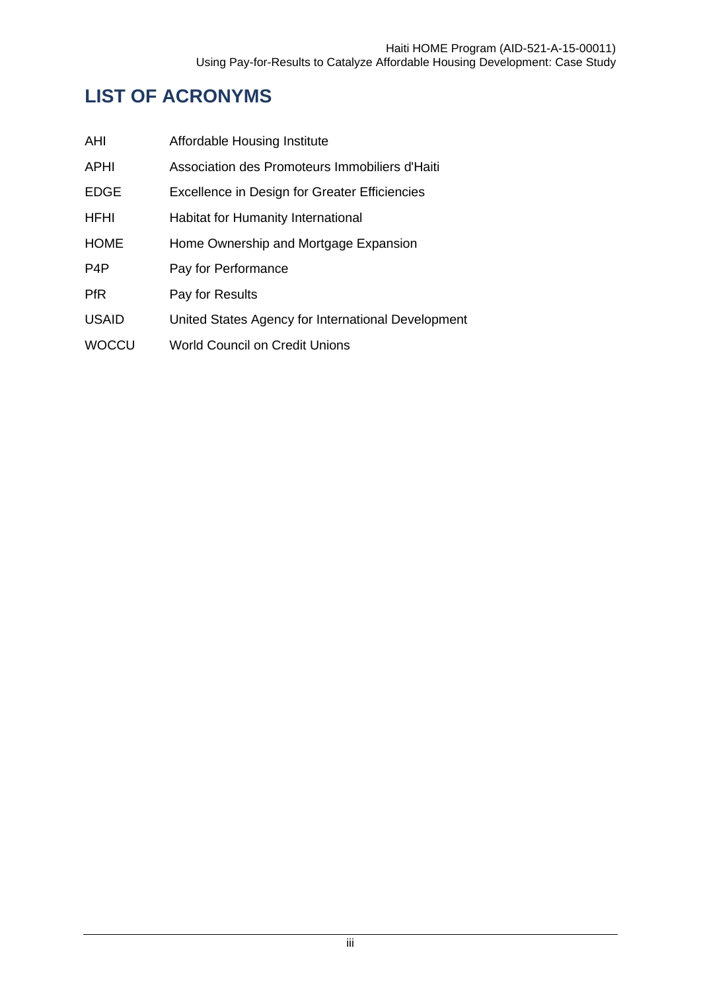# <span id="page-3-0"></span>**LIST OF ACRONYMS**

| AHI              | Affordable Housing Institute                       |
|------------------|----------------------------------------------------|
| <b>APHI</b>      | Association des Promoteurs Immobiliers d'Haiti     |
| <b>EDGE</b>      | Excellence in Design for Greater Efficiencies      |
| <b>HFHI</b>      | Habitat for Humanity International                 |
| <b>HOME</b>      | Home Ownership and Mortgage Expansion              |
| P <sub>4</sub> P | Pay for Performance                                |
| <b>PfR</b>       | Pay for Results                                    |
| <b>USAID</b>     | United States Agency for International Development |
| <b>WOCCU</b>     | World Council on Credit Unions                     |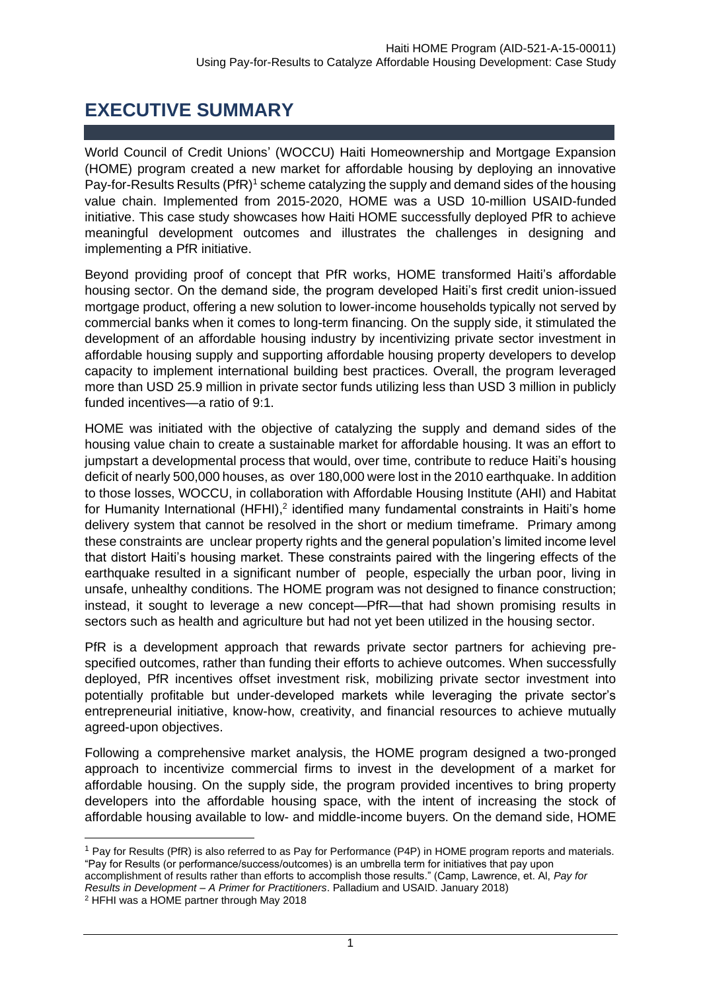## **EXECUTIVE SUMMARY**

<span id="page-4-0"></span>World Council of Credit Unions' (WOCCU) Haiti Homeownership and Mortgage Expansion (HOME) program created a new market for affordable housing by deploying an innovative Pay-for-Results Results (PfR)<sup>1</sup> scheme catalyzing the supply and demand sides of the housing value chain. Implemented from 2015-2020, HOME was a USD 10-million USAID-funded initiative. This case study showcases how Haiti HOME successfully deployed PfR to achieve meaningful development outcomes and illustrates the challenges in designing and implementing a PfR initiative.

Beyond providing proof of concept that PfR works, HOME transformed Haiti's affordable housing sector. On the demand side, the program developed Haiti's first credit union-issued mortgage product, offering a new solution to lower-income households typically not served by commercial banks when it comes to long-term financing. On the supply side, it stimulated the development of an affordable housing industry by incentivizing private sector investment in affordable housing supply and supporting affordable housing property developers to develop capacity to implement international building best practices. Overall, the program leveraged more than USD 25.9 million in private sector funds utilizing less than USD 3 million in publicly funded incentives—a ratio of 9:1.

HOME was initiated with the objective of catalyzing the supply and demand sides of the housing value chain to create a sustainable market for affordable housing. It was an effort to jumpstart a developmental process that would, over time, contribute to reduce Haiti's housing deficit of nearly 500,000 houses, as over 180,000 were lost in the 2010 earthquake. In addition to those losses, WOCCU, in collaboration with Affordable Housing Institute (AHI) and Habitat for Humanity International (HFHI),<sup>2</sup> identified many fundamental constraints in Haiti's home delivery system that cannot be resolved in the short or medium timeframe. Primary among these constraints are unclear property rights and the general population's limited income level that distort Haiti's housing market. These constraints paired with the lingering effects of the earthquake resulted in a significant number of people, especially the urban poor, living in unsafe, unhealthy conditions. The HOME program was not designed to finance construction; instead, it sought to leverage a new concept—PfR—that had shown promising results in sectors such as health and agriculture but had not yet been utilized in the housing sector.

PfR is a development approach that rewards private sector partners for achieving prespecified outcomes, rather than funding their efforts to achieve outcomes. When successfully deployed, PfR incentives offset investment risk, mobilizing private sector investment into potentially profitable but under-developed markets while leveraging the private sector's entrepreneurial initiative, know-how, creativity, and financial resources to achieve mutually agreed-upon objectives.

Following a comprehensive market analysis, the HOME program designed a two-pronged approach to incentivize commercial firms to invest in the development of a market for affordable housing. On the supply side, the program provided incentives to bring property developers into the affordable housing space, with the intent of increasing the stock of affordable housing available to low- and middle-income buyers. On the demand side, HOME

<sup>1</sup> Pay for Results (PfR) is also referred to as Pay for Performance (P4P) in HOME program reports and materials. "Pay for Results (or performance/success/outcomes) is an umbrella term for initiatives that pay upon

accomplishment of results rather than efforts to accomplish those results." (Camp, Lawrence, et. Al, *Pay for Results in Development – A Primer for Practitioners*. Palladium and USAID. January 2018)

<sup>2</sup> HFHI was a HOME partner through May 2018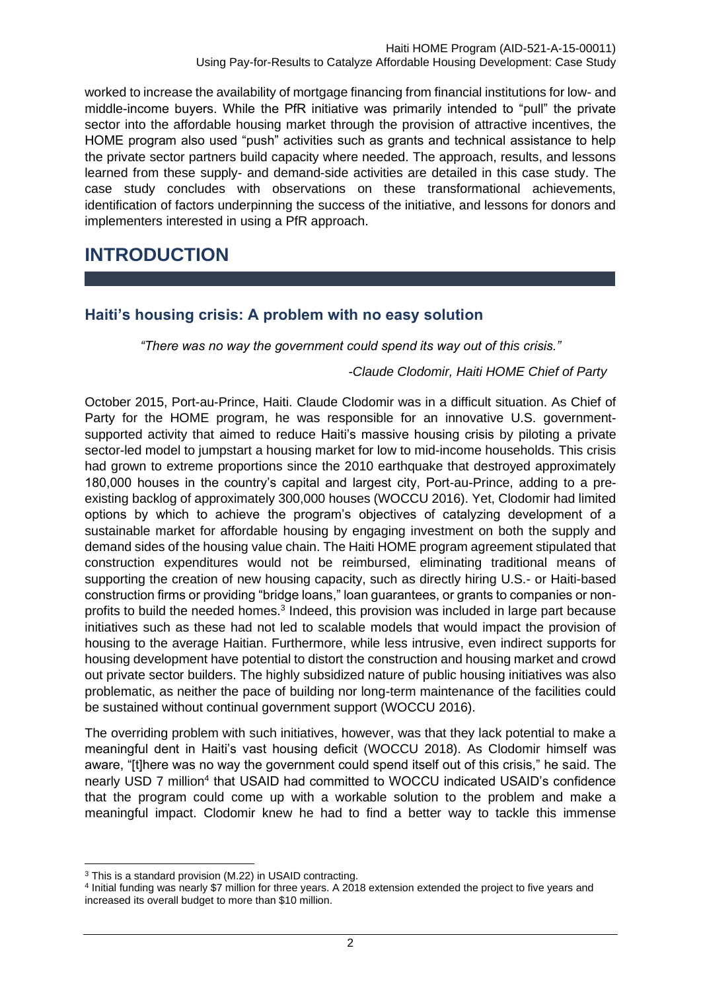worked to increase the availability of mortgage financing from financial institutions for low- and middle-income buyers. While the PfR initiative was primarily intended to "pull" the private sector into the affordable housing market through the provision of attractive incentives, the HOME program also used "push" activities such as grants and technical assistance to help the private sector partners build capacity where needed. The approach, results, and lessons learned from these supply- and demand-side activities are detailed in this case study. The case study concludes with observations on these transformational achievements, identification of factors underpinning the success of the initiative, and lessons for donors and implementers interested in using a PfR approach.

## <span id="page-5-0"></span>**INTRODUCTION**

## <span id="page-5-1"></span>**Haiti's housing crisis: A problem with no easy solution**

*"There was no way the government could spend its way out of this crisis."* 

#### *-Claude Clodomir, Haiti HOME Chief of Party*

October 2015, Port-au-Prince, Haiti. Claude Clodomir was in a difficult situation. As Chief of Party for the HOME program, he was responsible for an innovative U.S. governmentsupported activity that aimed to reduce Haiti's massive housing crisis by piloting a private sector-led model to jumpstart a housing market for low to mid-income households. This crisis had grown to extreme proportions since the 2010 earthquake that destroyed approximately 180,000 houses in the country's capital and largest city, Port-au-Prince, adding to a preexisting backlog of approximately 300,000 houses (WOCCU 2016). Yet, Clodomir had limited options by which to achieve the program's objectives of catalyzing development of a sustainable market for affordable housing by engaging investment on both the supply and demand sides of the housing value chain. The Haiti HOME program agreement stipulated that construction expenditures would not be reimbursed, eliminating traditional means of supporting the creation of new housing capacity, such as directly hiring U.S.- or Haiti-based construction firms or providing "bridge loans," loan guarantees, or grants to companies or nonprofits to build the needed homes.<sup>3</sup> Indeed, this provision was included in large part because initiatives such as these had not led to scalable models that would impact the provision of housing to the average Haitian. Furthermore, while less intrusive, even indirect supports for housing development have potential to distort the construction and housing market and crowd out private sector builders. The highly subsidized nature of public housing initiatives was also problematic, as neither the pace of building nor long-term maintenance of the facilities could be sustained without continual government support (WOCCU 2016).

The overriding problem with such initiatives, however, was that they lack potential to make a meaningful dent in Haiti's vast housing deficit (WOCCU 2018). As Clodomir himself was aware, "[t]here was no way the government could spend itself out of this crisis," he said. The nearly USD 7 million<sup>4</sup> that USAID had committed to WOCCU indicated USAID's confidence that the program could come up with a workable solution to the problem and make a meaningful impact. Clodomir knew he had to find a better way to tackle this immense

<sup>&</sup>lt;sup>3</sup> This is a standard provision (M.22) in USAID contracting.

<sup>4</sup> Initial funding was nearly \$7 million for three years. A 2018 extension extended the project to five years and increased its overall budget to more than \$10 million.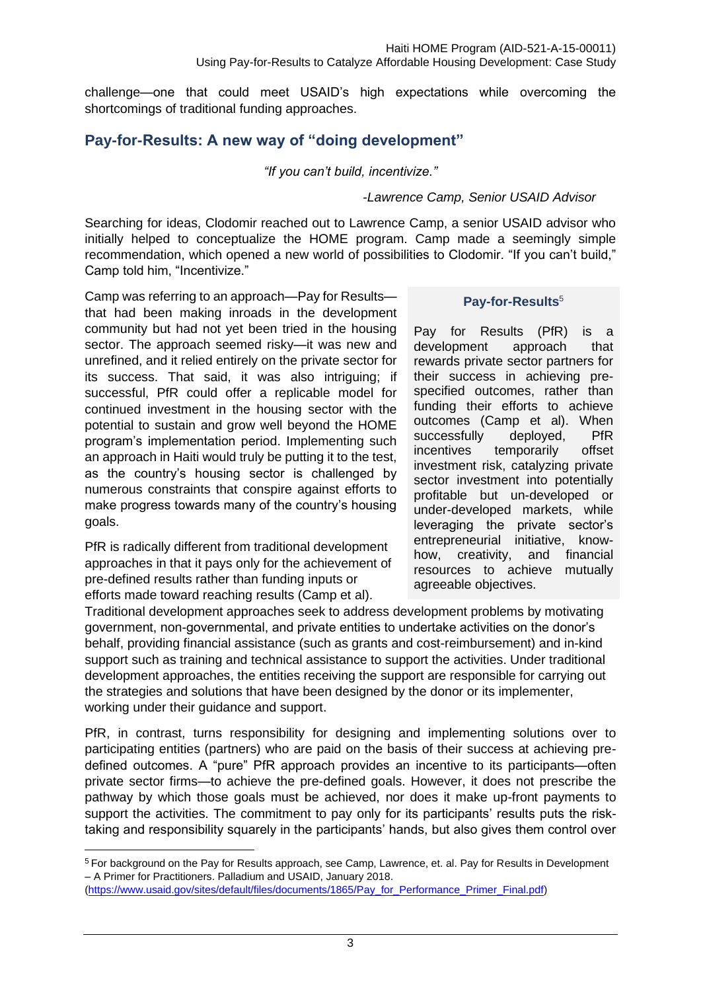challenge—one that could meet USAID's high expectations while overcoming the shortcomings of traditional funding approaches.

## <span id="page-6-0"></span>**Pay-for-Results: A new way of "doing development"**

*"If you can't build, incentivize."*

#### *-Lawrence Camp, Senior USAID Advisor*

Searching for ideas, Clodomir reached out to Lawrence Camp, a senior USAID advisor who initially helped to conceptualize the HOME program. Camp made a seemingly simple recommendation, which opened a new world of possibilities to Clodomir. "If you can't build," Camp told him, "Incentivize."

Camp was referring to an approach—Pay for Results that had been making inroads in the development community but had not yet been tried in the housing sector. The approach seemed risky—it was new and unrefined, and it relied entirely on the private sector for its success. That said, it was also intriguing; if successful, PfR could offer a replicable model for continued investment in the housing sector with the potential to sustain and grow well beyond the HOME program's implementation period. Implementing such an approach in Haiti would truly be putting it to the test, as the country's housing sector is challenged by numerous constraints that conspire against efforts to make progress towards many of the country's housing goals.

PfR is radically different from traditional development approaches in that it pays only for the achievement of pre-defined results rather than funding inputs or efforts made toward reaching results (Camp et al).

#### **Pay-for-Results**<sup>5</sup>

Pay for Results (PfR) is a development approach that rewards private sector partners for their success in achieving prespecified outcomes, rather than funding their efforts to achieve outcomes (Camp et al). When successfully deployed, PfR incentives temporarily offset investment risk, catalyzing private sector investment into potentially profitable but un-developed or under-developed markets, while leveraging the private sector's entrepreneurial initiative, knowhow, creativity, and financial resources to achieve mutually agreeable objectives.

Traditional development approaches seek to address development problems by motivating government, non-governmental, and private entities to undertake activities on the donor's behalf, providing financial assistance (such as grants and cost-reimbursement) and in-kind support such as training and technical assistance to support the activities. Under traditional development approaches, the entities receiving the support are responsible for carrying out the strategies and solutions that have been designed by the donor or its implementer, working under their guidance and support.

PfR, in contrast, turns responsibility for designing and implementing solutions over to participating entities (partners) who are paid on the basis of their success at achieving predefined outcomes. A "pure" PfR approach provides an incentive to its participants—often private sector firms—to achieve the pre-defined goals. However, it does not prescribe the pathway by which those goals must be achieved, nor does it make up-front payments to support the activities. The commitment to pay only for its participants' results puts the risktaking and responsibility squarely in the participants' hands, but also gives them control over

<sup>5</sup> For background on the Pay for Results approach, see Camp, Lawrence, et. al. Pay for Results in Development – A Primer for Practitioners. Palladium and USAID, January 2018.

[<sup>\(</sup>https://www.usaid.gov/sites/default/files/documents/1865/Pay\\_for\\_Performance\\_Primer\\_Final.pdf\)](https://www.usaid.gov/sites/default/files/documents/1865/Pay_for_Performance_Primer_Final.pdf)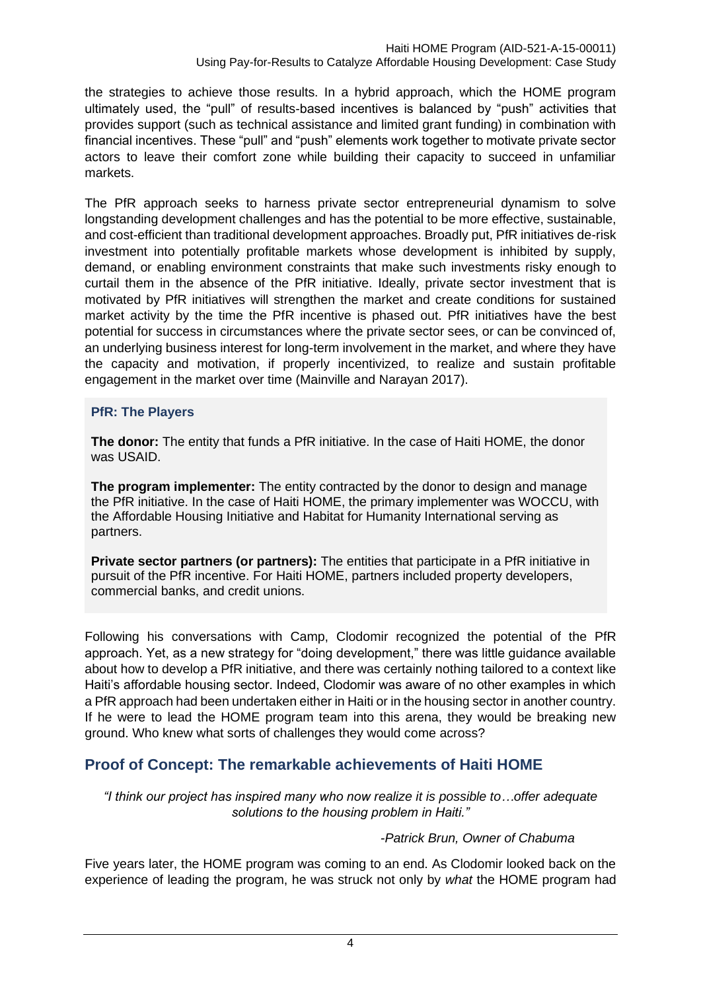the strategies to achieve those results. In a hybrid approach, which the HOME program ultimately used, the "pull" of results-based incentives is balanced by "push" activities that provides support (such as technical assistance and limited grant funding) in combination with financial incentives. These "pull" and "push" elements work together to motivate private sector actors to leave their comfort zone while building their capacity to succeed in unfamiliar markets.

The PfR approach seeks to harness private sector entrepreneurial dynamism to solve longstanding development challenges and has the potential to be more effective, sustainable, and cost-efficient than traditional development approaches. Broadly put, PfR initiatives de-risk investment into potentially profitable markets whose development is inhibited by supply, demand, or enabling environment constraints that make such investments risky enough to curtail them in the absence of the PfR initiative. Ideally, private sector investment that is motivated by PfR initiatives will strengthen the market and create conditions for sustained market activity by the time the PfR incentive is phased out. PfR initiatives have the best potential for success in circumstances where the private sector sees, or can be convinced of, an underlying business interest for long-term involvement in the market, and where they have the capacity and motivation, if properly incentivized, to realize and sustain profitable engagement in the market over time (Mainville and Narayan 2017).

## **PfR: The Players**

**The donor:** The entity that funds a PfR initiative. In the case of Haiti HOME, the donor was USAID.

**The program implementer:** The entity contracted by the donor to design and manage the PfR initiative. In the case of Haiti HOME, the primary implementer was WOCCU, with the Affordable Housing Initiative and Habitat for Humanity International serving as partners.

**Private sector partners (or partners):** The entities that participate in a PfR initiative in pursuit of the PfR incentive. For Haiti HOME, partners included property developers, commercial banks, and credit unions.

Following his conversations with Camp, Clodomir recognized the potential of the PfR approach. Yet, as a new strategy for "doing development," there was little guidance available about how to develop a PfR initiative, and there was certainly nothing tailored to a context like Haiti's affordable housing sector. Indeed, Clodomir was aware of no other examples in which a PfR approach had been undertaken either in Haiti or in the housing sector in another country. If he were to lead the HOME program team into this arena, they would be breaking new ground. Who knew what sorts of challenges they would come across?

## <span id="page-7-0"></span>**Proof of Concept: The remarkable achievements of Haiti HOME**

*"I think our project has inspired many who now realize it is possible to…offer adequate solutions to the housing problem in Haiti."*

#### *-Patrick Brun, Owner of Chabuma*

Five years later, the HOME program was coming to an end. As Clodomir looked back on the experience of leading the program, he was struck not only by *what* the HOME program had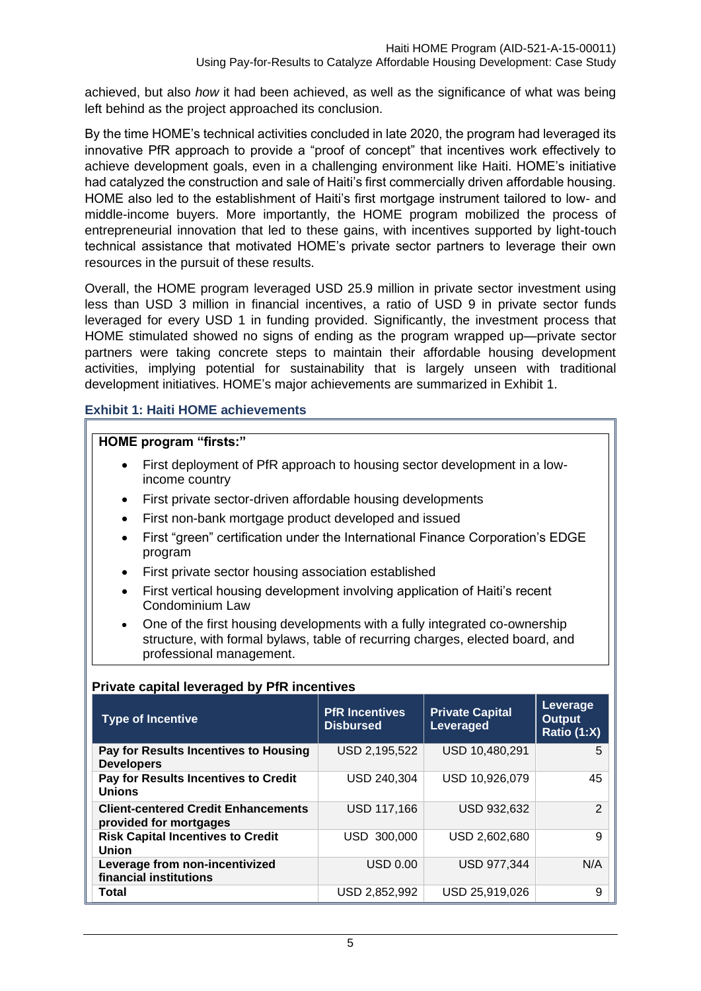achieved, but also *how* it had been achieved, as well as the significance of what was being left behind as the project approached its conclusion.

By the time HOME's technical activities concluded in late 2020, the program had leveraged its innovative PfR approach to provide a "proof of concept" that incentives work effectively to achieve development goals, even in a challenging environment like Haiti. HOME's initiative had catalyzed the construction and sale of Haiti's first commercially driven affordable housing. HOME also led to the establishment of Haiti's first mortgage instrument tailored to low- and middle-income buyers. More importantly, the HOME program mobilized the process of entrepreneurial innovation that led to these gains, with incentives supported by light-touch technical assistance that motivated HOME's private sector partners to leverage their own resources in the pursuit of these results.

Overall, the HOME program leveraged USD 25.9 million in private sector investment using less than USD 3 million in financial incentives, a ratio of USD 9 in private sector funds leveraged for every USD 1 in funding provided. Significantly, the investment process that HOME stimulated showed no signs of ending as the program wrapped up—private sector partners were taking concrete steps to maintain their affordable housing development activities, implying potential for sustainability that is largely unseen with traditional development initiatives. HOME's major achievements are summarized in Exhibit 1.

#### **Exhibit 1: Haiti HOME achievements**

#### **HOME program "firsts:"**

- First deployment of PfR approach to housing sector development in a lowincome country
- First private sector-driven affordable housing developments
- First non-bank mortgage product developed and issued
- First "green" certification under the International Finance Corporation's EDGE program
- First private sector housing association established
- First vertical housing development involving application of Haiti's recent Condominium Law
- One of the first housing developments with a fully integrated co-ownership structure, with formal bylaws, table of recurring charges, elected board, and professional management.

#### **Private capital leveraged by PfR incentives**

| <b>Type of Incentive</b>                                             | <b>PfR Incentives</b><br><b>Disbursed</b> | <b>Private Capital</b><br>Leveraged | Leverage<br><b>Output</b><br>Ratio (1:X) |
|----------------------------------------------------------------------|-------------------------------------------|-------------------------------------|------------------------------------------|
| Pay for Results Incentives to Housing<br><b>Developers</b>           | USD 2,195,522                             | USD 10,480,291                      | 5                                        |
| Pay for Results Incentives to Credit<br><b>Unions</b>                | USD 240,304                               | USD 10,926,079                      | 45                                       |
| <b>Client-centered Credit Enhancements</b><br>provided for mortgages | <b>USD 117,166</b>                        | <b>USD 932,632</b>                  | 2                                        |
| <b>Risk Capital Incentives to Credit</b><br><b>Union</b>             | USD 300,000                               | USD 2,602,680                       | 9                                        |
| Leverage from non-incentivized<br>financial institutions             | USD 0.00                                  | <b>USD 977,344</b>                  | N/A                                      |
| Total                                                                | USD 2,852,992                             | USD 25,919,026                      | 9                                        |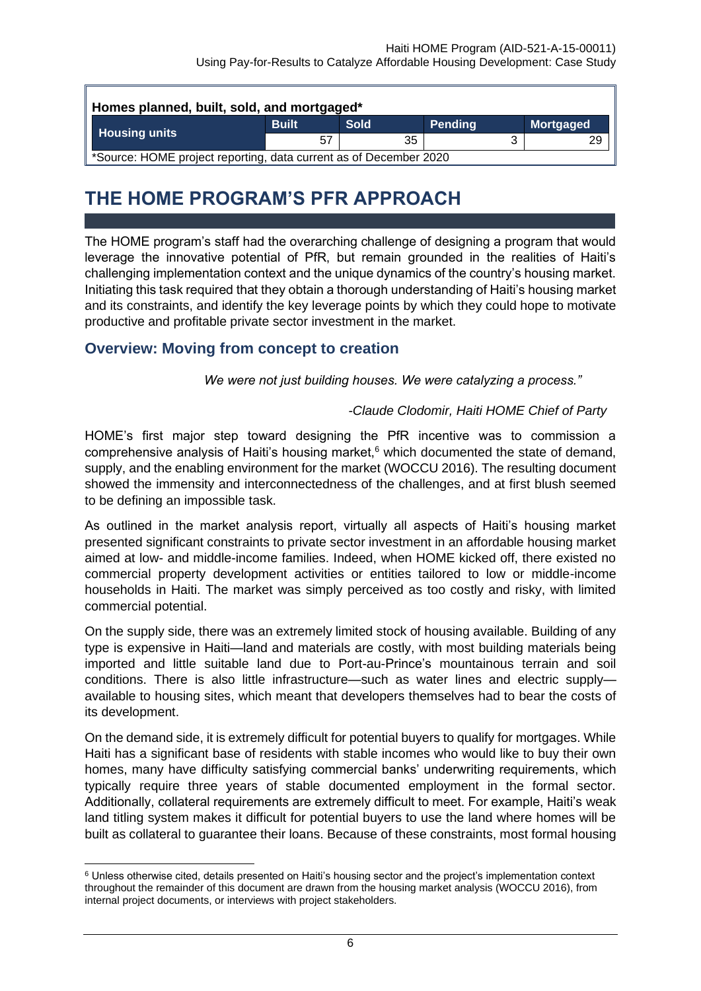| Homes planned, built, sold, and mortgaged*                        |              |             |         |                  |  |  |
|-------------------------------------------------------------------|--------------|-------------|---------|------------------|--|--|
| <b>Housing units</b>                                              | <b>Built</b> | <b>Sold</b> | Pending | <b>Mortgaged</b> |  |  |
|                                                                   | 57           | 35          |         | 29               |  |  |
| *Source: HOME project reporting, data current as of December 2020 |              |             |         |                  |  |  |

## **THE HOME PROGRAM'S PFR APPROACH**

<span id="page-9-0"></span>The HOME program's staff had the overarching challenge of designing a program that would leverage the innovative potential of PfR, but remain grounded in the realities of Haiti's challenging implementation context and the unique dynamics of the country's housing market. Initiating this task required that they obtain a thorough understanding of Haiti's housing market and its constraints, and identify the key leverage points by which they could hope to motivate productive and profitable private sector investment in the market.

## <span id="page-9-1"></span>**Overview: Moving from concept to creation**

*We were not just building houses. We were catalyzing a process."*

## *-Claude Clodomir, Haiti HOME Chief of Party*

HOME's first major step toward designing the PfR incentive was to commission a comprehensive analysis of Haiti's housing market, $6$  which documented the state of demand, supply, and the enabling environment for the market (WOCCU 2016). The resulting document showed the immensity and interconnectedness of the challenges, and at first blush seemed to be defining an impossible task.

As outlined in the market analysis report, virtually all aspects of Haiti's housing market presented significant constraints to private sector investment in an affordable housing market aimed at low- and middle-income families. Indeed, when HOME kicked off, there existed no commercial property development activities or entities tailored to low or middle-income households in Haiti. The market was simply perceived as too costly and risky, with limited commercial potential.

On the supply side, there was an extremely limited stock of housing available. Building of any type is expensive in Haiti—land and materials are costly, with most building materials being imported and little suitable land due to Port-au-Prince's mountainous terrain and soil conditions. There is also little infrastructure—such as water lines and electric supply available to housing sites, which meant that developers themselves had to bear the costs of its development.

On the demand side, it is extremely difficult for potential buyers to qualify for mortgages. While Haiti has a significant base of residents with stable incomes who would like to buy their own homes, many have difficulty satisfying commercial banks' underwriting requirements, which typically require three years of stable documented employment in the formal sector. Additionally, collateral requirements are extremely difficult to meet. For example, Haiti's weak land titling system makes it difficult for potential buyers to use the land where homes will be built as collateral to guarantee their loans. Because of these constraints, most formal housing

<sup>6</sup> Unless otherwise cited, details presented on Haiti's housing sector and the project's implementation context throughout the remainder of this document are drawn from the housing market analysis (WOCCU 2016), from internal project documents, or interviews with project stakeholders.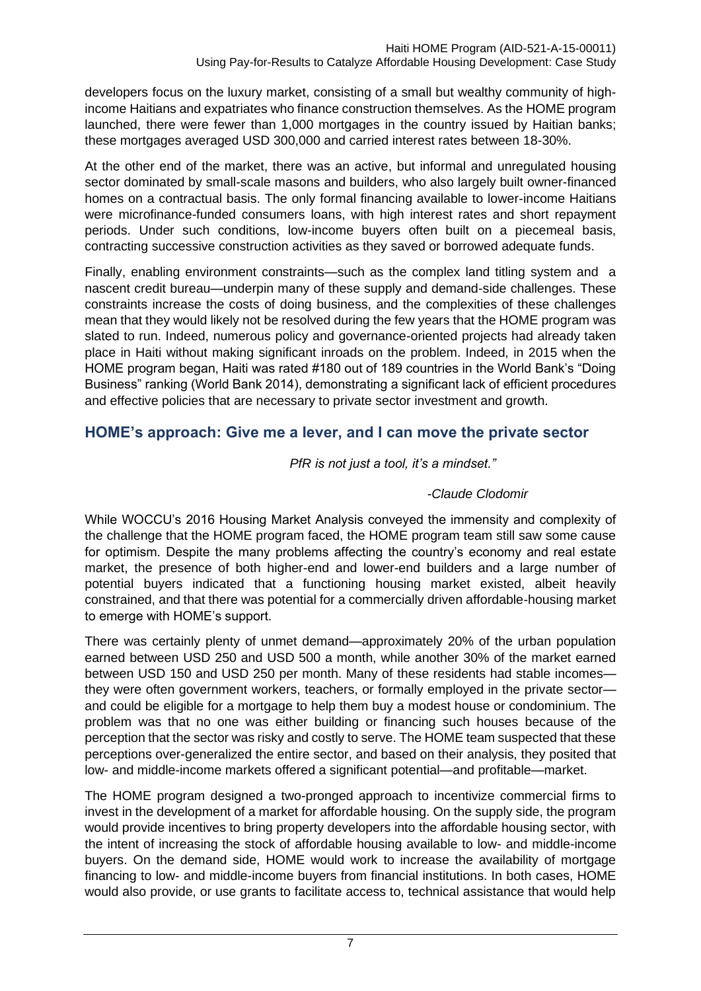developers focus on the luxury market, consisting of a small but wealthy community of highincome Haitians and expatriates who finance construction themselves. As the HOME program launched, there were fewer than 1,000 mortgages in the country issued by Haitian banks; these mortgages averaged USD 300,000 and carried interest rates between 18-30%.

At the other end of the market, there was an active, but informal and unregulated housing sector dominated by small-scale masons and builders, who also largely built owner-financed homes on a contractual basis. The only formal financing available to lower-income Haitians were microfinance-funded consumers loans, with high interest rates and short repayment periods. Under such conditions, low-income buyers often built on a piecemeal basis, contracting successive construction activities as they saved or borrowed adequate funds.

Finally, enabling environment constraints—such as the complex land titling system and a nascent credit bureau—underpin many of these supply and demand-side challenges. These constraints increase the costs of doing business, and the complexities of these challenges mean that they would likely not be resolved during the few years that the HOME program was slated to run. Indeed, numerous policy and governance-oriented projects had already taken place in Haiti without making significant inroads on the problem. Indeed, in 2015 when the HOME program began, Haiti was rated #180 out of 189 countries in the World Bank's "Doing Business" ranking (World Bank 2014), demonstrating a significant lack of efficient procedures and effective policies that are necessary to private sector investment and growth.

## <span id="page-10-0"></span>**HOME's approach: Give me a lever, and I can move the private sector**

*PfR is not just a tool, it's a mindset."* 

## *-Claude Clodomir*

While WOCCU's 2016 Housing Market Analysis conveyed the immensity and complexity of the challenge that the HOME program faced, the HOME program team still saw some cause for optimism. Despite the many problems affecting the country's economy and real estate market, the presence of both higher-end and lower-end builders and a large number of potential buyers indicated that a functioning housing market existed, albeit heavily constrained, and that there was potential for a commercially driven affordable-housing market to emerge with HOME's support.

There was certainly plenty of unmet demand—approximately 20% of the urban population earned between USD 250 and USD 500 a month, while another 30% of the market earned between USD 150 and USD 250 per month. Many of these residents had stable incomes they were often government workers, teachers, or formally employed in the private sector and could be eligible for a mortgage to help them buy a modest house or condominium. The problem was that no one was either building or financing such houses because of the perception that the sector was risky and costly to serve. The HOME team suspected that these perceptions over-generalized the entire sector, and based on their analysis, they posited that low- and middle-income markets offered a significant potential—and profitable—market.

The HOME program designed a two-pronged approach to incentivize commercial firms to invest in the development of a market for affordable housing. On the supply side, the program would provide incentives to bring property developers into the affordable housing sector, with the intent of increasing the stock of affordable housing available to low- and middle-income buyers. On the demand side, HOME would work to increase the availability of mortgage financing to low- and middle-income buyers from financial institutions. In both cases, HOME would also provide, or use grants to facilitate access to, technical assistance that would help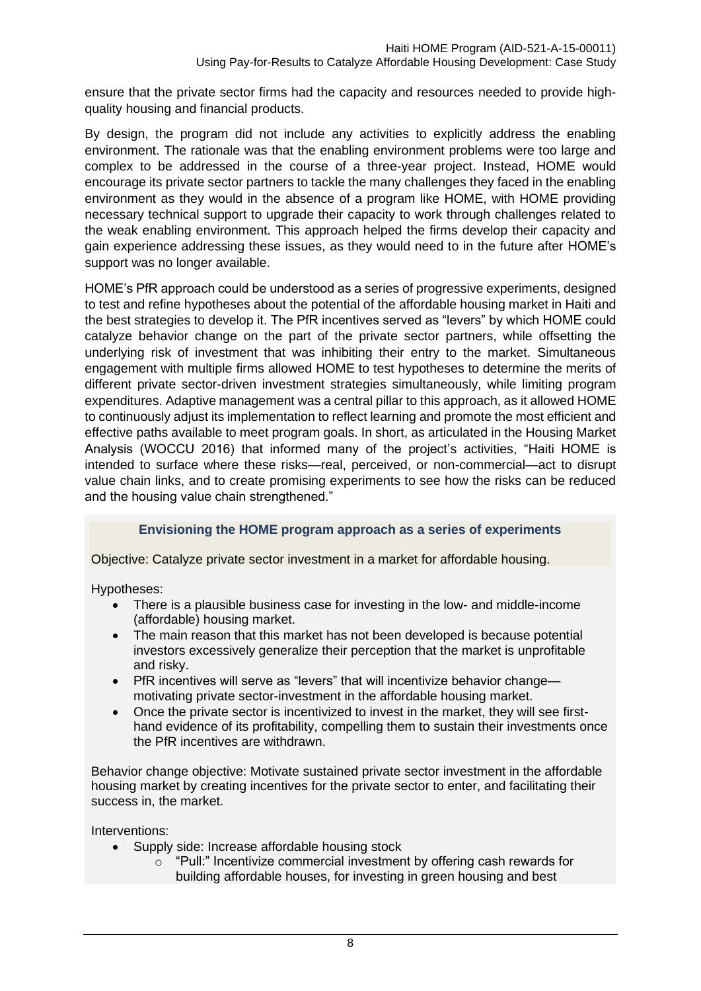ensure that the private sector firms had the capacity and resources needed to provide highquality housing and financial products.

By design, the program did not include any activities to explicitly address the enabling environment. The rationale was that the enabling environment problems were too large and complex to be addressed in the course of a three-year project. Instead, HOME would encourage its private sector partners to tackle the many challenges they faced in the enabling environment as they would in the absence of a program like HOME, with HOME providing necessary technical support to upgrade their capacity to work through challenges related to the weak enabling environment. This approach helped the firms develop their capacity and gain experience addressing these issues, as they would need to in the future after HOME's support was no longer available.

HOME's PfR approach could be understood as a series of progressive experiments, designed to test and refine hypotheses about the potential of the affordable housing market in Haiti and the best strategies to develop it. The PfR incentives served as "levers" by which HOME could catalyze behavior change on the part of the private sector partners, while offsetting the underlying risk of investment that was inhibiting their entry to the market. Simultaneous engagement with multiple firms allowed HOME to test hypotheses to determine the merits of different private sector-driven investment strategies simultaneously, while limiting program expenditures. Adaptive management was a central pillar to this approach, as it allowed HOME to continuously adjust its implementation to reflect learning and promote the most efficient and effective paths available to meet program goals. In short, as articulated in the Housing Market Analysis (WOCCU 2016) that informed many of the project's activities, "Haiti HOME is intended to surface where these risks—real, perceived, or non-commercial—act to disrupt value chain links, and to create promising experiments to see how the risks can be reduced and the housing value chain strengthened."

## **Envisioning the HOME program approach as a series of experiments**

Objective: Catalyze private sector investment in a market for affordable housing.

Hypotheses:

- There is a plausible business case for investing in the low- and middle-income (affordable) housing market.
- The main reason that this market has not been developed is because potential investors excessively generalize their perception that the market is unprofitable and risky.
- PfR incentives will serve as "levers" that will incentivize behavior change motivating private sector-investment in the affordable housing market.
- Once the private sector is incentivized to invest in the market, they will see firsthand evidence of its profitability, compelling them to sustain their investments once the PfR incentives are withdrawn.

Behavior change objective: Motivate sustained private sector investment in the affordable housing market by creating incentives for the private sector to enter, and facilitating their success in, the market.

Interventions:

- Supply side: Increase affordable housing stock
	- o "Pull:" Incentivize commercial investment by offering cash rewards for building affordable houses, for investing in green housing and best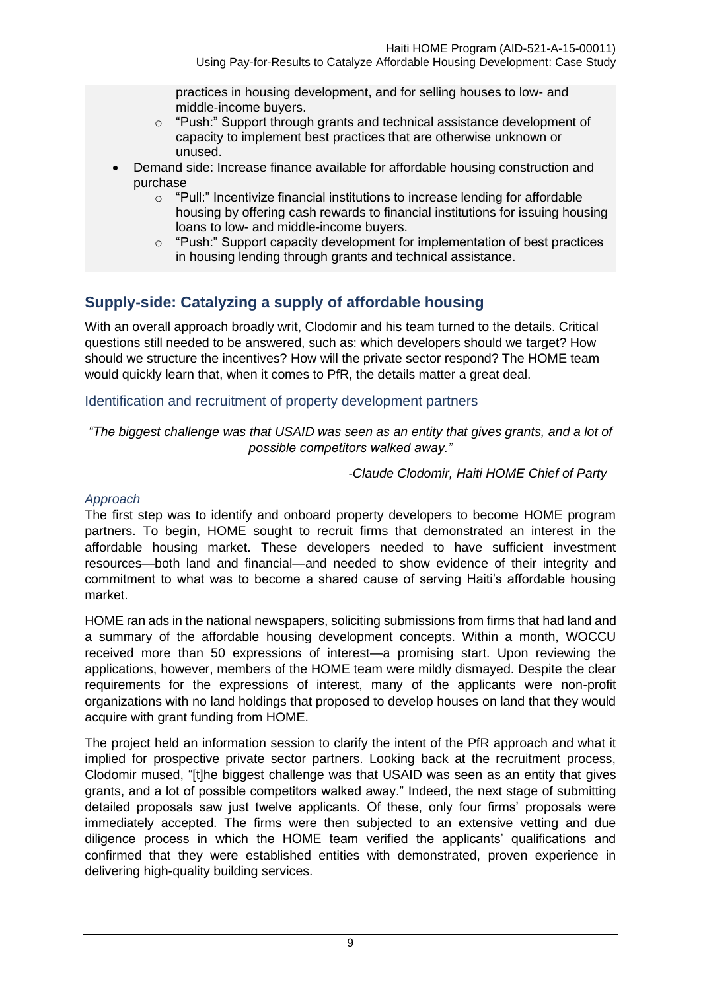Using Pay-for-Results to Catalyze Affordable Housing Development: Case Study

practices in housing development, and for selling houses to low- and middle-income buyers.

- o "Push:" Support through grants and technical assistance development of capacity to implement best practices that are otherwise unknown or unused.
- Demand side: Increase finance available for affordable housing construction and purchase
	- o "Pull:" Incentivize financial institutions to increase lending for affordable housing by offering cash rewards to financial institutions for issuing housing loans to low- and middle-income buyers.
	- o "Push:" Support capacity development for implementation of best practices in housing lending through grants and technical assistance.

## <span id="page-12-0"></span>**Supply-side: Catalyzing a supply of affordable housing**

With an overall approach broadly writ, Clodomir and his team turned to the details. Critical questions still needed to be answered, such as: which developers should we target? How should we structure the incentives? How will the private sector respond? The HOME team would quickly learn that, when it comes to PfR, the details matter a great deal.

## <span id="page-12-1"></span>Identification and recruitment of property development partners

*"The biggest challenge was that USAID was seen as an entity that gives grants, and a lot of possible competitors walked away."*

*-Claude Clodomir, Haiti HOME Chief of Party*

## *Approach*

The first step was to identify and onboard property developers to become HOME program partners. To begin, HOME sought to recruit firms that demonstrated an interest in the affordable housing market. These developers needed to have sufficient investment resources—both land and financial—and needed to show evidence of their integrity and commitment to what was to become a shared cause of serving Haiti's affordable housing market.

HOME ran ads in the national newspapers, soliciting submissions from firms that had land and a summary of the affordable housing development concepts. Within a month, WOCCU received more than 50 expressions of interest—a promising start. Upon reviewing the applications, however, members of the HOME team were mildly dismayed. Despite the clear requirements for the expressions of interest, many of the applicants were non-profit organizations with no land holdings that proposed to develop houses on land that they would acquire with grant funding from HOME.

The project held an information session to clarify the intent of the PfR approach and what it implied for prospective private sector partners. Looking back at the recruitment process, Clodomir mused, "[t]he biggest challenge was that USAID was seen as an entity that gives grants, and a lot of possible competitors walked away." Indeed, the next stage of submitting detailed proposals saw just twelve applicants. Of these, only four firms' proposals were immediately accepted. The firms were then subjected to an extensive vetting and due diligence process in which the HOME team verified the applicants' qualifications and confirmed that they were established entities with demonstrated, proven experience in delivering high-quality building services.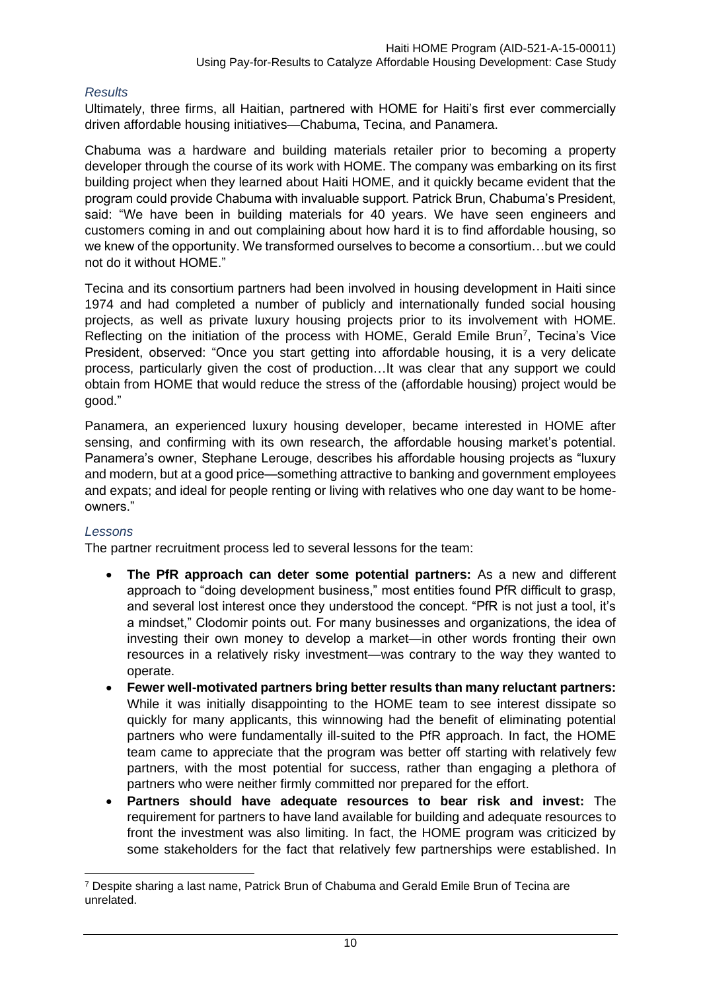#### *Results*

Ultimately, three firms, all Haitian, partnered with HOME for Haiti's first ever commercially driven affordable housing initiatives—Chabuma, Tecina, and Panamera.

Chabuma was a hardware and building materials retailer prior to becoming a property developer through the course of its work with HOME. The company was embarking on its first building project when they learned about Haiti HOME, and it quickly became evident that the program could provide Chabuma with invaluable support. Patrick Brun, Chabuma's President, said: "We have been in building materials for 40 years. We have seen engineers and customers coming in and out complaining about how hard it is to find affordable housing, so we knew of the opportunity. We transformed ourselves to become a consortium…but we could not do it without HOME."

Tecina and its consortium partners had been involved in housing development in Haiti since 1974 and had completed a number of publicly and internationally funded social housing projects, as well as private luxury housing projects prior to its involvement with HOME. Reflecting on the initiation of the process with HOME, Gerald Emile Brun<sup>7</sup>, Tecina's Vice President, observed: "Once you start getting into affordable housing, it is a very delicate process, particularly given the cost of production…It was clear that any support we could obtain from HOME that would reduce the stress of the (affordable housing) project would be good."

Panamera, an experienced luxury housing developer, became interested in HOME after sensing, and confirming with its own research, the affordable housing market's potential. Panamera's owner, Stephane Lerouge, describes his affordable housing projects as "luxury and modern, but at a good price—something attractive to banking and government employees and expats; and ideal for people renting or living with relatives who one day want to be homeowners."

#### *Lessons*

The partner recruitment process led to several lessons for the team:

- **The PfR approach can deter some potential partners:** As a new and different approach to "doing development business," most entities found PfR difficult to grasp, and several lost interest once they understood the concept. "PfR is not just a tool, it's a mindset," Clodomir points out. For many businesses and organizations, the idea of investing their own money to develop a market—in other words fronting their own resources in a relatively risky investment—was contrary to the way they wanted to operate.
- **Fewer well-motivated partners bring better results than many reluctant partners:**  While it was initially disappointing to the HOME team to see interest dissipate so quickly for many applicants, this winnowing had the benefit of eliminating potential partners who were fundamentally ill-suited to the PfR approach. In fact, the HOME team came to appreciate that the program was better off starting with relatively few partners, with the most potential for success, rather than engaging a plethora of partners who were neither firmly committed nor prepared for the effort.
- **Partners should have adequate resources to bear risk and invest:** The requirement for partners to have land available for building and adequate resources to front the investment was also limiting. In fact, the HOME program was criticized by some stakeholders for the fact that relatively few partnerships were established. In

<sup>7</sup> Despite sharing a last name, Patrick Brun of Chabuma and Gerald Emile Brun of Tecina are unrelated.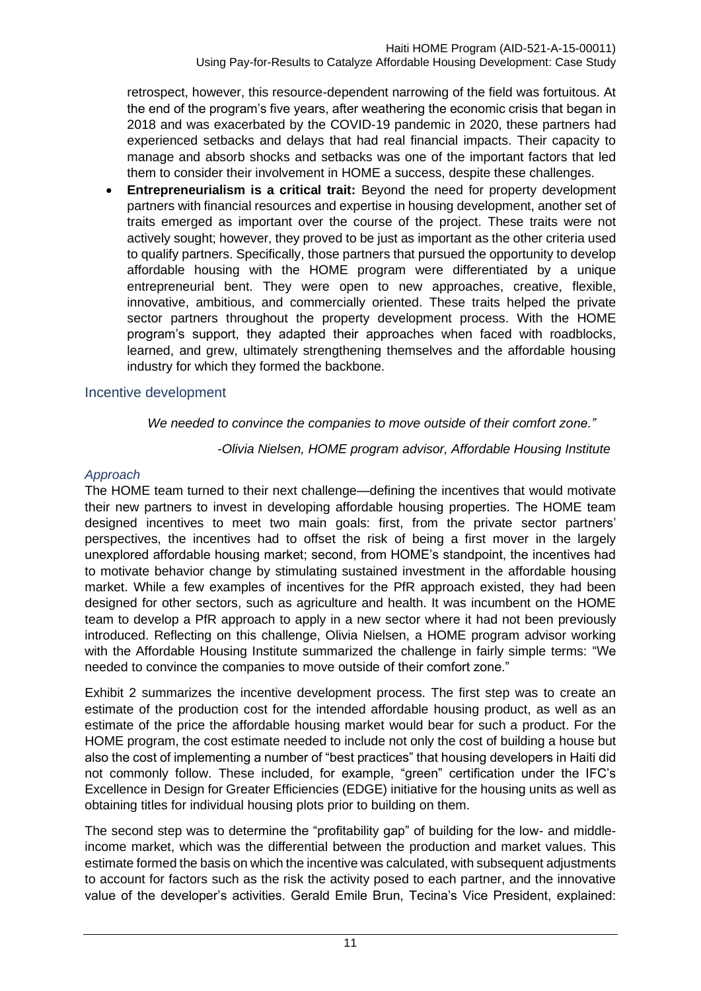retrospect, however, this resource-dependent narrowing of the field was fortuitous. At the end of the program's five years, after weathering the economic crisis that began in 2018 and was exacerbated by the COVID-19 pandemic in 2020, these partners had experienced setbacks and delays that had real financial impacts. Their capacity to manage and absorb shocks and setbacks was one of the important factors that led them to consider their involvement in HOME a success, despite these challenges.

• **Entrepreneurialism is a critical trait:** Beyond the need for property development partners with financial resources and expertise in housing development, another set of traits emerged as important over the course of the project. These traits were not actively sought; however, they proved to be just as important as the other criteria used to qualify partners. Specifically, those partners that pursued the opportunity to develop affordable housing with the HOME program were differentiated by a unique entrepreneurial bent. They were open to new approaches, creative, flexible, innovative, ambitious, and commercially oriented. These traits helped the private sector partners throughout the property development process. With the HOME program's support, they adapted their approaches when faced with roadblocks, learned, and grew, ultimately strengthening themselves and the affordable housing industry for which they formed the backbone.

## <span id="page-14-0"></span>Incentive development

## *We needed to convince the companies to move outside of their comfort zone."*

*-Olivia Nielsen, HOME program advisor, Affordable Housing Institute*

## *Approach*

The HOME team turned to their next challenge—defining the incentives that would motivate their new partners to invest in developing affordable housing properties. The HOME team designed incentives to meet two main goals: first, from the private sector partners' perspectives, the incentives had to offset the risk of being a first mover in the largely unexplored affordable housing market; second, from HOME's standpoint, the incentives had to motivate behavior change by stimulating sustained investment in the affordable housing market. While a few examples of incentives for the PfR approach existed, they had been designed for other sectors, such as agriculture and health. It was incumbent on the HOME team to develop a PfR approach to apply in a new sector where it had not been previously introduced. Reflecting on this challenge, Olivia Nielsen, a HOME program advisor working with the Affordable Housing Institute summarized the challenge in fairly simple terms: "We needed to convince the companies to move outside of their comfort zone."

Exhibit 2 summarizes the incentive development process. The first step was to create an estimate of the production cost for the intended affordable housing product, as well as an estimate of the price the affordable housing market would bear for such a product. For the HOME program, the cost estimate needed to include not only the cost of building a house but also the cost of implementing a number of "best practices" that housing developers in Haiti did not commonly follow. These included, for example, "green" certification under the IFC's Excellence in Design for Greater Efficiencies (EDGE) initiative for the housing units as well as obtaining titles for individual housing plots prior to building on them.

The second step was to determine the "profitability gap" of building for the low- and middleincome market, which was the differential between the production and market values. This estimate formed the basis on which the incentive was calculated, with subsequent adjustments to account for factors such as the risk the activity posed to each partner, and the innovative value of the developer's activities. Gerald Emile Brun, Tecina's Vice President, explained: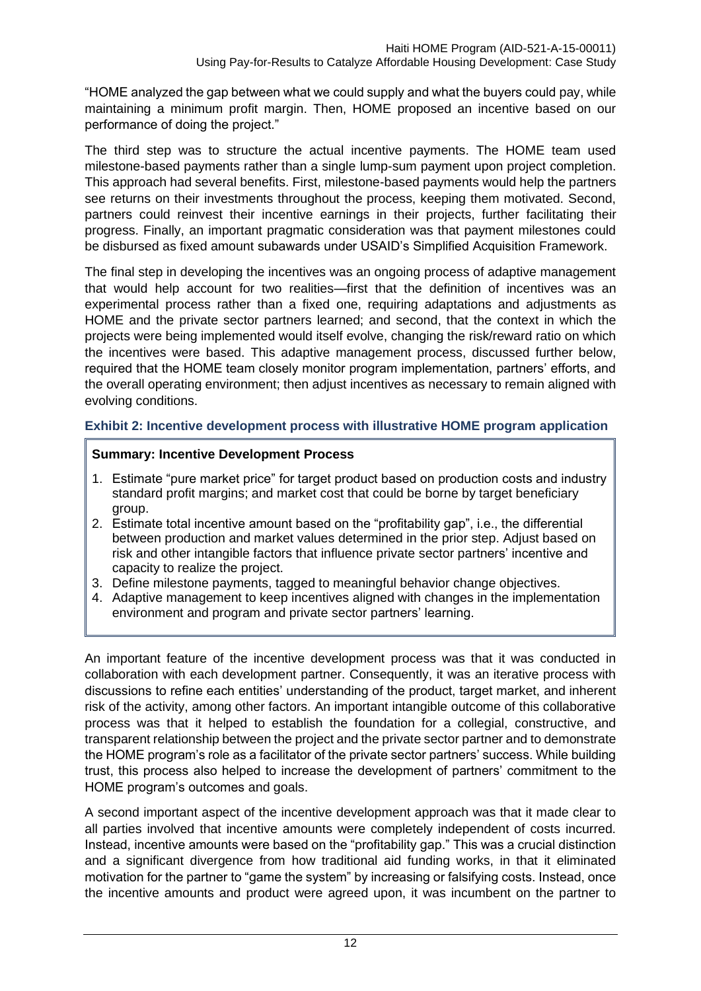"HOME analyzed the gap between what we could supply and what the buyers could pay, while maintaining a minimum profit margin. Then, HOME proposed an incentive based on our performance of doing the project."

The third step was to structure the actual incentive payments. The HOME team used milestone-based payments rather than a single lump-sum payment upon project completion. This approach had several benefits. First, milestone-based payments would help the partners see returns on their investments throughout the process, keeping them motivated. Second, partners could reinvest their incentive earnings in their projects, further facilitating their progress. Finally, an important pragmatic consideration was that payment milestones could be disbursed as fixed amount subawards under USAID's Simplified Acquisition Framework.

The final step in developing the incentives was an ongoing process of adaptive management that would help account for two realities—first that the definition of incentives was an experimental process rather than a fixed one, requiring adaptations and adjustments as HOME and the private sector partners learned; and second, that the context in which the projects were being implemented would itself evolve, changing the risk/reward ratio on which the incentives were based. This adaptive management process, discussed further below, required that the HOME team closely monitor program implementation, partners' efforts, and the overall operating environment; then adjust incentives as necessary to remain aligned with evolving conditions.

## **Exhibit 2: Incentive development process with illustrative HOME program application**

## **Summary: Incentive Development Process**

- 1. Estimate "pure market price" for target product based on production costs and industry standard profit margins; and market cost that could be borne by target beneficiary group.
- 2. Estimate total incentive amount based on the "profitability gap", i.e., the differential between production and market values determined in the prior step. Adjust based on risk and other intangible factors that influence private sector partners' incentive and capacity to realize the project.
- 3. Define milestone payments, tagged to meaningful behavior change objectives.
- 4. Adaptive management to keep incentives aligned with changes in the implementation environment and program and private sector partners' learning.

An important feature of the incentive development process was that it was conducted in collaboration with each development partner. Consequently, it was an iterative process with discussions to refine each entities' understanding of the product, target market, and inherent risk of the activity, among other factors. An important intangible outcome of this collaborative process was that it helped to establish the foundation for a collegial, constructive, and transparent relationship between the project and the private sector partner and to demonstrate the HOME program's role as a facilitator of the private sector partners' success. While building trust, this process also helped to increase the development of partners' commitment to the HOME program's outcomes and goals.

A second important aspect of the incentive development approach was that it made clear to all parties involved that incentive amounts were completely independent of costs incurred. Instead, incentive amounts were based on the "profitability gap." This was a crucial distinction and a significant divergence from how traditional aid funding works, in that it eliminated motivation for the partner to "game the system" by increasing or falsifying costs. Instead, once the incentive amounts and product were agreed upon, it was incumbent on the partner to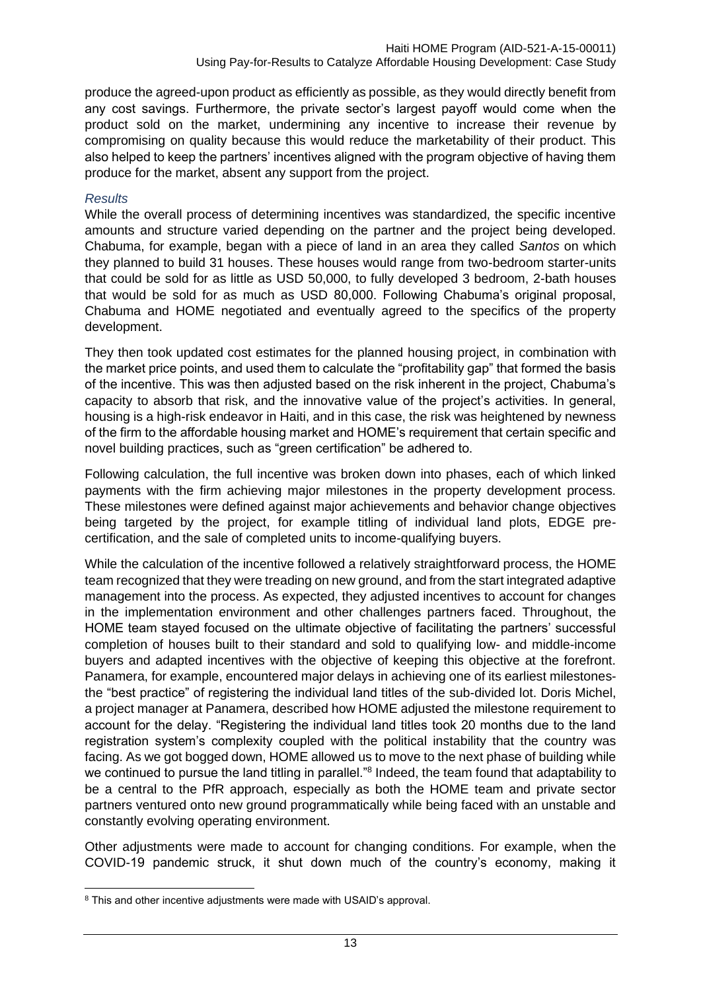produce the agreed-upon product as efficiently as possible, as they would directly benefit from any cost savings. Furthermore, the private sector's largest payoff would come when the product sold on the market, undermining any incentive to increase their revenue by compromising on quality because this would reduce the marketability of their product. This also helped to keep the partners' incentives aligned with the program objective of having them produce for the market, absent any support from the project.

#### *Results*

While the overall process of determining incentives was standardized, the specific incentive amounts and structure varied depending on the partner and the project being developed. Chabuma, for example, began with a piece of land in an area they called *Santos* on which they planned to build 31 houses. These houses would range from two-bedroom starter-units that could be sold for as little as USD 50,000, to fully developed 3 bedroom, 2-bath houses that would be sold for as much as USD 80,000. Following Chabuma's original proposal, Chabuma and HOME negotiated and eventually agreed to the specifics of the property development.

They then took updated cost estimates for the planned housing project, in combination with the market price points, and used them to calculate the "profitability gap" that formed the basis of the incentive. This was then adjusted based on the risk inherent in the project, Chabuma's capacity to absorb that risk, and the innovative value of the project's activities. In general, housing is a high-risk endeavor in Haiti, and in this case, the risk was heightened by newness of the firm to the affordable housing market and HOME's requirement that certain specific and novel building practices, such as "green certification" be adhered to.

Following calculation, the full incentive was broken down into phases, each of which linked payments with the firm achieving major milestones in the property development process. These milestones were defined against major achievements and behavior change objectives being targeted by the project, for example titling of individual land plots, EDGE precertification, and the sale of completed units to income-qualifying buyers.

While the calculation of the incentive followed a relatively straightforward process, the HOME team recognized that they were treading on new ground, and from the start integrated adaptive management into the process. As expected, they adjusted incentives to account for changes in the implementation environment and other challenges partners faced. Throughout, the HOME team stayed focused on the ultimate objective of facilitating the partners' successful completion of houses built to their standard and sold to qualifying low- and middle-income buyers and adapted incentives with the objective of keeping this objective at the forefront. Panamera, for example, encountered major delays in achieving one of its earliest milestonesthe "best practice" of registering the individual land titles of the sub-divided lot. Doris Michel, a project manager at Panamera, described how HOME adjusted the milestone requirement to account for the delay. "Registering the individual land titles took 20 months due to the land registration system's complexity coupled with the political instability that the country was facing. As we got bogged down, HOME allowed us to move to the next phase of building while we continued to pursue the land titling in parallel."<sup>8</sup> Indeed, the team found that adaptability to be a central to the PfR approach, especially as both the HOME team and private sector partners ventured onto new ground programmatically while being faced with an unstable and constantly evolving operating environment.

Other adjustments were made to account for changing conditions. For example, when the COVID-19 pandemic struck, it shut down much of the country's economy, making it

<sup>&</sup>lt;sup>8</sup> This and other incentive adjustments were made with USAID's approval.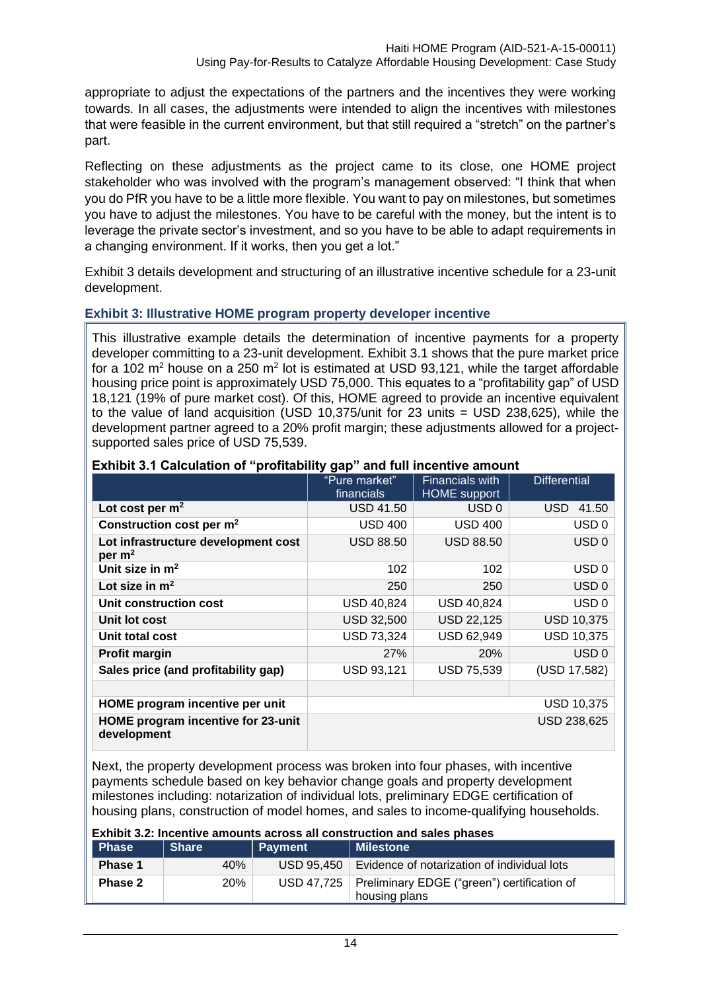appropriate to adjust the expectations of the partners and the incentives they were working towards. In all cases, the adjustments were intended to align the incentives with milestones that were feasible in the current environment, but that still required a "stretch" on the partner's part.

Reflecting on these adjustments as the project came to its close, one HOME project stakeholder who was involved with the program's management observed: "I think that when you do PfR you have to be a little more flexible. You want to pay on milestones, but sometimes you have to adjust the milestones. You have to be careful with the money, but the intent is to leverage the private sector's investment, and so you have to be able to adapt requirements in a changing environment. If it works, then you get a lot."

Exhibit 3 details development and structuring of an illustrative incentive schedule for a 23-unit development.

## **Exhibit 3: Illustrative HOME program property developer incentive**

This illustrative example details the determination of incentive payments for a property developer committing to a 23-unit development. Exhibit 3.1 shows that the pure market price for a 102 m<sup>2</sup> house on a 250 m<sup>2</sup> lot is estimated at USD 93,121, while the target affordable housing price point is approximately USD 75,000. This equates to a "profitability gap" of USD 18,121 (19% of pure market cost). Of this, HOME agreed to provide an incentive equivalent to the value of land acquisition (USD 10,375/unit for 23 units = USD 238,625), while the development partner agreed to a 20% profit margin; these adjustments allowed for a projectsupported sales price of USD 75,539.

|                                                   | "Pure market"     | <b>Financials with</b> | <b>Differential</b> |
|---------------------------------------------------|-------------------|------------------------|---------------------|
|                                                   | financials        | <b>HOME</b> support    |                     |
| Lot cost per $m2$                                 | <b>USD 41.50</b>  | USD <sub>0</sub>       | <b>USD</b><br>41.50 |
| Construction cost per m <sup>2</sup>              | <b>USD 400</b>    | <b>USD 400</b>         | USD <sub>0</sub>    |
| Lot infrastructure development cost<br>per $m2$   | <b>USD 88.50</b>  | <b>USD 88.50</b>       | USD <sub>0</sub>    |
| Unit size in $m2$                                 | 102               | 102                    | USD <sub>0</sub>    |
| Lot size in $m2$                                  | 250               | 250                    | USD <sub>0</sub>    |
| Unit construction cost                            | USD 40,824        | USD 40,824             | USD <sub>0</sub>    |
| Unit lot cost                                     | <b>USD 32,500</b> | <b>USD 22,125</b>      | <b>USD 10,375</b>   |
| Unit total cost                                   | <b>USD 73,324</b> | <b>USD 62,949</b>      | <b>USD 10,375</b>   |
| <b>Profit margin</b>                              | 27%               | <b>20%</b>             | USD <sub>0</sub>    |
| Sales price (and profitability gap)               | <b>USD 93,121</b> | <b>USD 75,539</b>      | (USD 17,582)        |
|                                                   |                   |                        |                     |
| HOME program incentive per unit                   | USD 10,375        |                        |                     |
| HOME program incentive for 23-unit<br>development |                   |                        | USD 238,625         |

#### **Exhibit 3.1 Calculation of "profitability gap" and full incentive amount**

Next, the property development process was broken into four phases, with incentive payments schedule based on key behavior change goals and property development milestones including: notarization of individual lots, preliminary EDGE certification of housing plans, construction of model homes, and sales to income-qualifying households.

| <b>Exhibit 3.2: Incentive amounts across all construction and sales phases</b> |              |                |                                                                           |  |  |
|--------------------------------------------------------------------------------|--------------|----------------|---------------------------------------------------------------------------|--|--|
| <b>Phase</b>                                                                   | <b>Share</b> | <b>Payment</b> | <b>Milestone</b>                                                          |  |  |
| Phase 1                                                                        | 40%          |                | USD 95,450   Evidence of notarization of individual lots                  |  |  |
| Phase 2                                                                        | <b>20%</b>   |                | USD 47,725   Preliminary EDGE ("green") certification of<br>housing plans |  |  |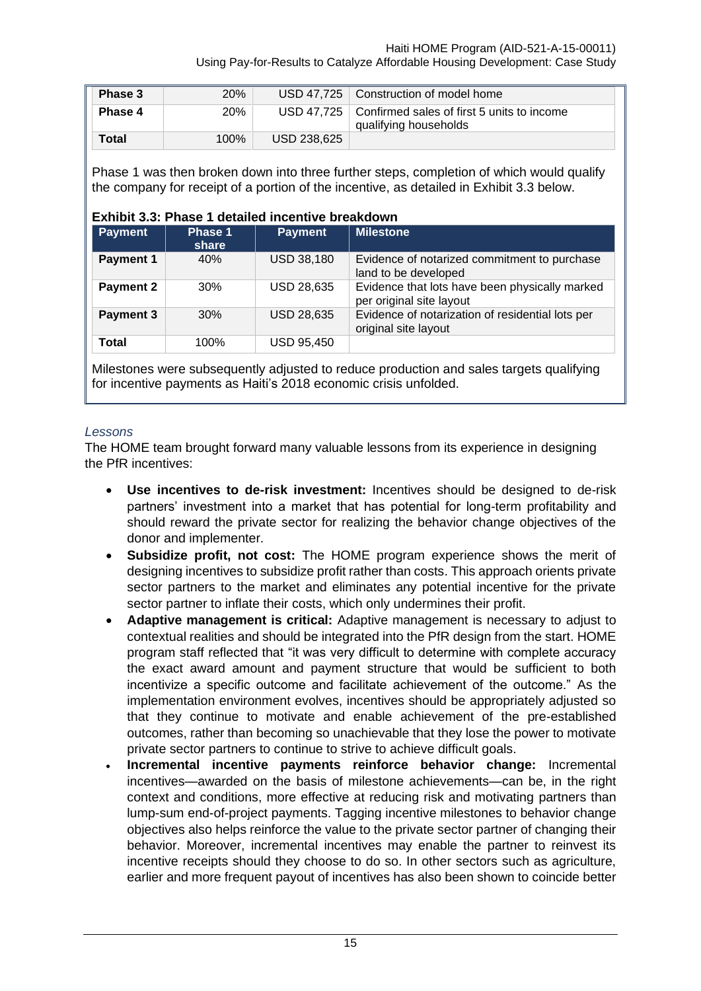Using Pay-for-Results to Catalyze Affordable Housing Development: Case Study

| Phase 3 | 20%  |             | USD 47,725   Construction of model home                                          |
|---------|------|-------------|----------------------------------------------------------------------------------|
| Phase 4 | 20%  |             | USD 47,725   Confirmed sales of first 5 units to income<br>qualifying households |
| Total   | 100% | USD 238.625 |                                                                                  |

Phase 1 was then broken down into three further steps, completion of which would qualify the company for receipt of a portion of the incentive, as detailed in Exhibit 3.3 below.

#### **Exhibit 3.3: Phase 1 detailed incentive breakdown**

| <b>Payment</b>   | Phase 1<br>share | <b>Payment</b>    | <b>Milestone</b>                                                           |
|------------------|------------------|-------------------|----------------------------------------------------------------------------|
| <b>Payment 1</b> | 40%              | <b>USD 38,180</b> | Evidence of notarized commitment to purchase<br>land to be developed       |
| <b>Payment 2</b> | 30%              | <b>USD 28,635</b> | Evidence that lots have been physically marked<br>per original site layout |
| <b>Payment 3</b> | 30%              | <b>USD 28,635</b> | Evidence of notarization of residential lots per<br>original site layout   |
| <b>Total</b>     | 100%             | <b>USD 95,450</b> |                                                                            |

Milestones were subsequently adjusted to reduce production and sales targets qualifying for incentive payments as Haiti's 2018 economic crisis unfolded.

#### *Lessons*

The HOME team brought forward many valuable lessons from its experience in designing the PfR incentives:

- Use incentives to de-risk investment: Incentives should be designed to de-risk partners' investment into a market that has potential for long-term profitability and should reward the private sector for realizing the behavior change objectives of the donor and implementer.
- **Subsidize profit, not cost:** The HOME program experience shows the merit of designing incentives to subsidize profit rather than costs. This approach orients private sector partners to the market and eliminates any potential incentive for the private sector partner to inflate their costs, which only undermines their profit.
- **Adaptive management is critical:** Adaptive management is necessary to adjust to contextual realities and should be integrated into the PfR design from the start. HOME program staff reflected that "it was very difficult to determine with complete accuracy the exact award amount and payment structure that would be sufficient to both incentivize a specific outcome and facilitate achievement of the outcome." As the implementation environment evolves, incentives should be appropriately adjusted so that they continue to motivate and enable achievement of the pre-established outcomes, rather than becoming so unachievable that they lose the power to motivate private sector partners to continue to strive to achieve difficult goals.
- **Incremental incentive payments reinforce behavior change:** Incremental incentives—awarded on the basis of milestone achievements—can be, in the right context and conditions, more effective at reducing risk and motivating partners than lump-sum end-of-project payments. Tagging incentive milestones to behavior change objectives also helps reinforce the value to the private sector partner of changing their behavior. Moreover, incremental incentives may enable the partner to reinvest its incentive receipts should they choose to do so. In other sectors such as agriculture, earlier and more frequent payout of incentives has also been shown to coincide better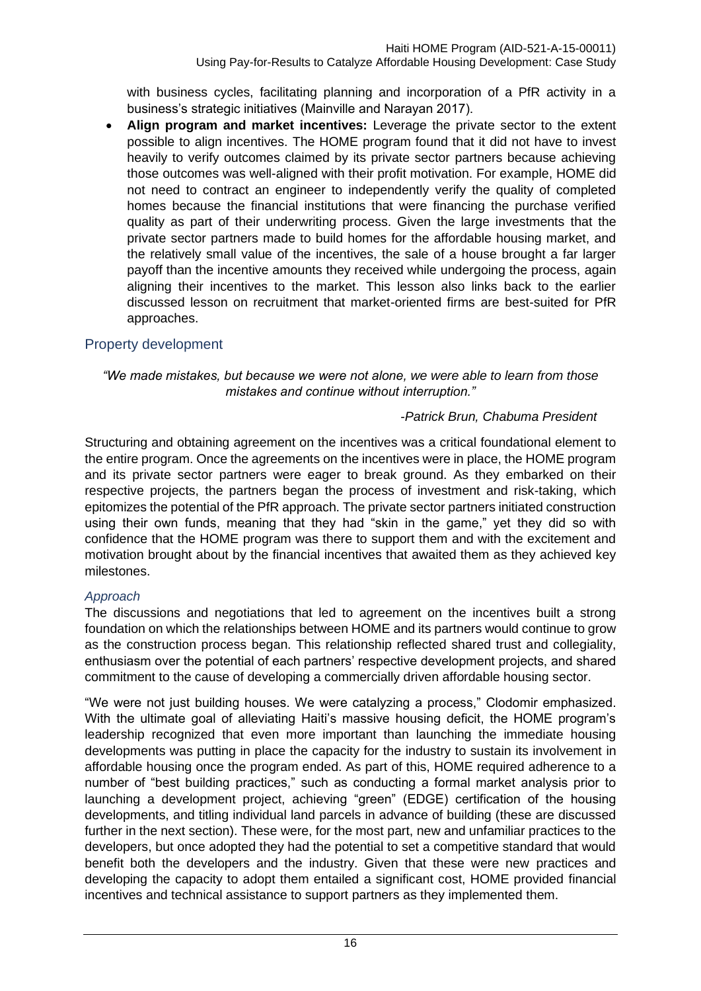with business cycles, facilitating planning and incorporation of a PfR activity in a business's strategic initiatives (Mainville and Narayan 2017).

• **Align program and market incentives:** Leverage the private sector to the extent possible to align incentives. The HOME program found that it did not have to invest heavily to verify outcomes claimed by its private sector partners because achieving those outcomes was well-aligned with their profit motivation. For example, HOME did not need to contract an engineer to independently verify the quality of completed homes because the financial institutions that were financing the purchase verified quality as part of their underwriting process. Given the large investments that the private sector partners made to build homes for the affordable housing market, and the relatively small value of the incentives, the sale of a house brought a far larger payoff than the incentive amounts they received while undergoing the process, again aligning their incentives to the market. This lesson also links back to the earlier discussed lesson on recruitment that market-oriented firms are best-suited for PfR approaches.

## <span id="page-19-0"></span>Property development

#### *"We made mistakes, but because we were not alone, we were able to learn from those mistakes and continue without interruption."*

## *-Patrick Brun, Chabuma President*

Structuring and obtaining agreement on the incentives was a critical foundational element to the entire program. Once the agreements on the incentives were in place, the HOME program and its private sector partners were eager to break ground. As they embarked on their respective projects, the partners began the process of investment and risk-taking, which epitomizes the potential of the PfR approach. The private sector partners initiated construction using their own funds, meaning that they had "skin in the game," yet they did so with confidence that the HOME program was there to support them and with the excitement and motivation brought about by the financial incentives that awaited them as they achieved key milestones.

## *Approach*

The discussions and negotiations that led to agreement on the incentives built a strong foundation on which the relationships between HOME and its partners would continue to grow as the construction process began. This relationship reflected shared trust and collegiality, enthusiasm over the potential of each partners' respective development projects, and shared commitment to the cause of developing a commercially driven affordable housing sector.

"We were not just building houses. We were catalyzing a process," Clodomir emphasized. With the ultimate goal of alleviating Haiti's massive housing deficit, the HOME program's leadership recognized that even more important than launching the immediate housing developments was putting in place the capacity for the industry to sustain its involvement in affordable housing once the program ended. As part of this, HOME required adherence to a number of "best building practices," such as conducting a formal market analysis prior to launching a development project, achieving "green" (EDGE) certification of the housing developments, and titling individual land parcels in advance of building (these are discussed further in the next section). These were, for the most part, new and unfamiliar practices to the developers, but once adopted they had the potential to set a competitive standard that would benefit both the developers and the industry. Given that these were new practices and developing the capacity to adopt them entailed a significant cost, HOME provided financial incentives and technical assistance to support partners as they implemented them.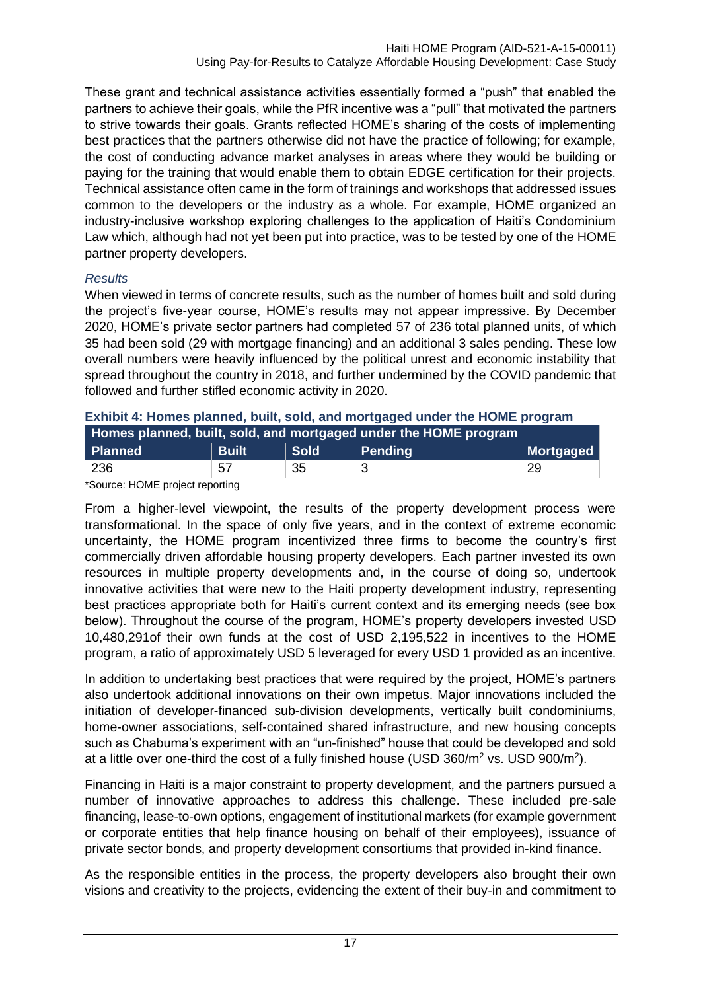These grant and technical assistance activities essentially formed a "push" that enabled the partners to achieve their goals, while the PfR incentive was a "pull" that motivated the partners to strive towards their goals. Grants reflected HOME's sharing of the costs of implementing best practices that the partners otherwise did not have the practice of following; for example, the cost of conducting advance market analyses in areas where they would be building or paying for the training that would enable them to obtain EDGE certification for their projects. Technical assistance often came in the form of trainings and workshops that addressed issues common to the developers or the industry as a whole. For example, HOME organized an industry-inclusive workshop exploring challenges to the application of Haiti's Condominium Law which, although had not yet been put into practice, was to be tested by one of the HOME partner property developers.

## *Results*

When viewed in terms of concrete results, such as the number of homes built and sold during the project's five-year course, HOME's results may not appear impressive. By December 2020, HOME's private sector partners had completed 57 of 236 total planned units, of which 35 had been sold (29 with mortgage financing) and an additional 3 sales pending. These low overall numbers were heavily influenced by the political unrest and economic instability that spread throughout the country in 2018, and further undermined by the COVID pandemic that followed and further stifled economic activity in 2020.

| Homes planned, built, sold, and mortgaged under the HOME program |              |             |         |           |
|------------------------------------------------------------------|--------------|-------------|---------|-----------|
| Planned                                                          | <b>Built</b> | <b>Sold</b> | Pending | Mortgaged |
| 236                                                              | 57           | 35          |         | 29        |

#### **Exhibit 4: Homes planned, built, sold, and mortgaged under the HOME program**

\*Source: HOME project reporting

From a higher-level viewpoint, the results of the property development process were transformational. In the space of only five years, and in the context of extreme economic uncertainty, the HOME program incentivized three firms to become the country's first commercially driven affordable housing property developers. Each partner invested its own resources in multiple property developments and, in the course of doing so, undertook innovative activities that were new to the Haiti property development industry, representing best practices appropriate both for Haiti's current context and its emerging needs (see box below). Throughout the course of the program, HOME's property developers invested USD 10,480,291of their own funds at the cost of USD 2,195,522 in incentives to the HOME program, a ratio of approximately USD 5 leveraged for every USD 1 provided as an incentive.

In addition to undertaking best practices that were required by the project, HOME's partners also undertook additional innovations on their own impetus. Major innovations included the initiation of developer-financed sub-division developments, vertically built condominiums, home-owner associations, self-contained shared infrastructure, and new housing concepts such as Chabuma's experiment with an "un-finished" house that could be developed and sold at a little over one-third the cost of a fully finished house (USD  $360/m^2$  vs. USD  $900/m^2$ ).

Financing in Haiti is a major constraint to property development, and the partners pursued a number of innovative approaches to address this challenge. These included pre-sale financing, lease-to-own options, engagement of institutional markets (for example government or corporate entities that help finance housing on behalf of their employees), issuance of private sector bonds, and property development consortiums that provided in-kind finance.

As the responsible entities in the process, the property developers also brought their own visions and creativity to the projects, evidencing the extent of their buy-in and commitment to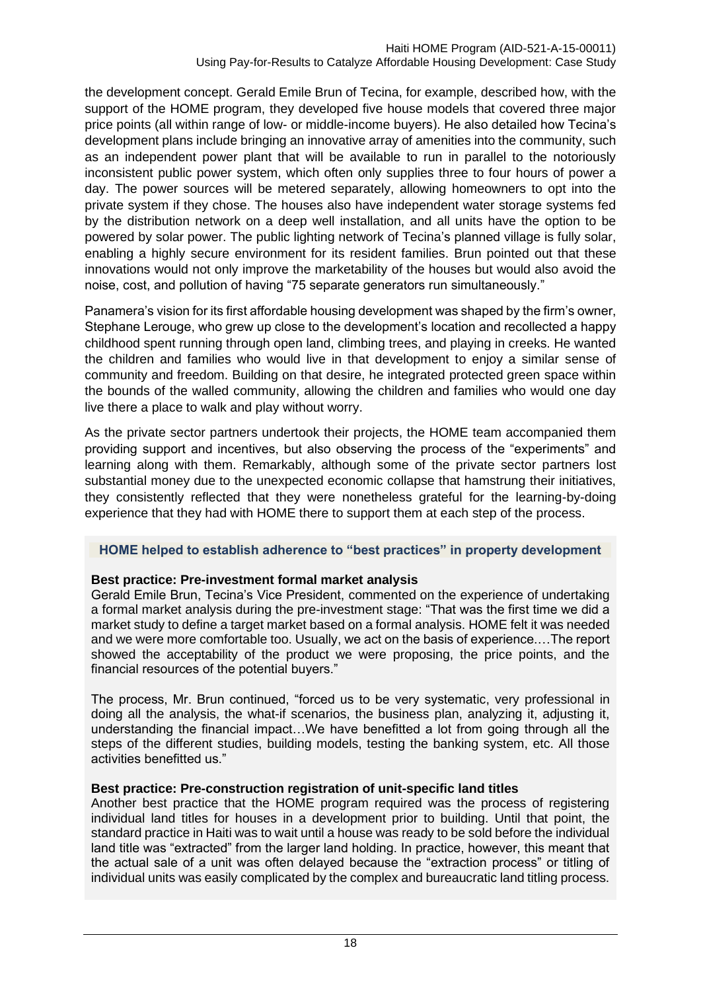the development concept. Gerald Emile Brun of Tecina, for example, described how, with the support of the HOME program, they developed five house models that covered three major price points (all within range of low- or middle-income buyers). He also detailed how Tecina's development plans include bringing an innovative array of amenities into the community, such as an independent power plant that will be available to run in parallel to the notoriously inconsistent public power system, which often only supplies three to four hours of power a day. The power sources will be metered separately, allowing homeowners to opt into the private system if they chose. The houses also have independent water storage systems fed by the distribution network on a deep well installation, and all units have the option to be powered by solar power. The public lighting network of Tecina's planned village is fully solar, enabling a highly secure environment for its resident families. Brun pointed out that these innovations would not only improve the marketability of the houses but would also avoid the noise, cost, and pollution of having "75 separate generators run simultaneously."

Panamera's vision for its first affordable housing development was shaped by the firm's owner, Stephane Lerouge, who grew up close to the development's location and recollected a happy childhood spent running through open land, climbing trees, and playing in creeks. He wanted the children and families who would live in that development to enjoy a similar sense of community and freedom. Building on that desire, he integrated protected green space within the bounds of the walled community, allowing the children and families who would one day live there a place to walk and play without worry.

As the private sector partners undertook their projects, the HOME team accompanied them providing support and incentives, but also observing the process of the "experiments" and learning along with them. Remarkably, although some of the private sector partners lost substantial money due to the unexpected economic collapse that hamstrung their initiatives, they consistently reflected that they were nonetheless grateful for the learning-by-doing experience that they had with HOME there to support them at each step of the process.

## **HOME helped to establish adherence to "best practices" in property development**

## **Best practice: Pre-investment formal market analysis**

Gerald Emile Brun, Tecina's Vice President, commented on the experience of undertaking a formal market analysis during the pre-investment stage: "That was the first time we did a market study to define a target market based on a formal analysis. HOME felt it was needed and we were more comfortable too. Usually, we act on the basis of experience.…The report showed the acceptability of the product we were proposing, the price points, and the financial resources of the potential buyers."

The process, Mr. Brun continued, "forced us to be very systematic, very professional in doing all the analysis, the what-if scenarios, the business plan, analyzing it, adjusting it, understanding the financial impact…We have benefitted a lot from going through all the steps of the different studies, building models, testing the banking system, etc. All those activities benefitted us."

## **Best practice: Pre-construction registration of unit-specific land titles**

Another best practice that the HOME program required was the process of registering individual land titles for houses in a development prior to building. Until that point, the standard practice in Haiti was to wait until a house was ready to be sold before the individual land title was "extracted" from the larger land holding. In practice, however, this meant that the actual sale of a unit was often delayed because the "extraction process" or titling of individual units was easily complicated by the complex and bureaucratic land titling process.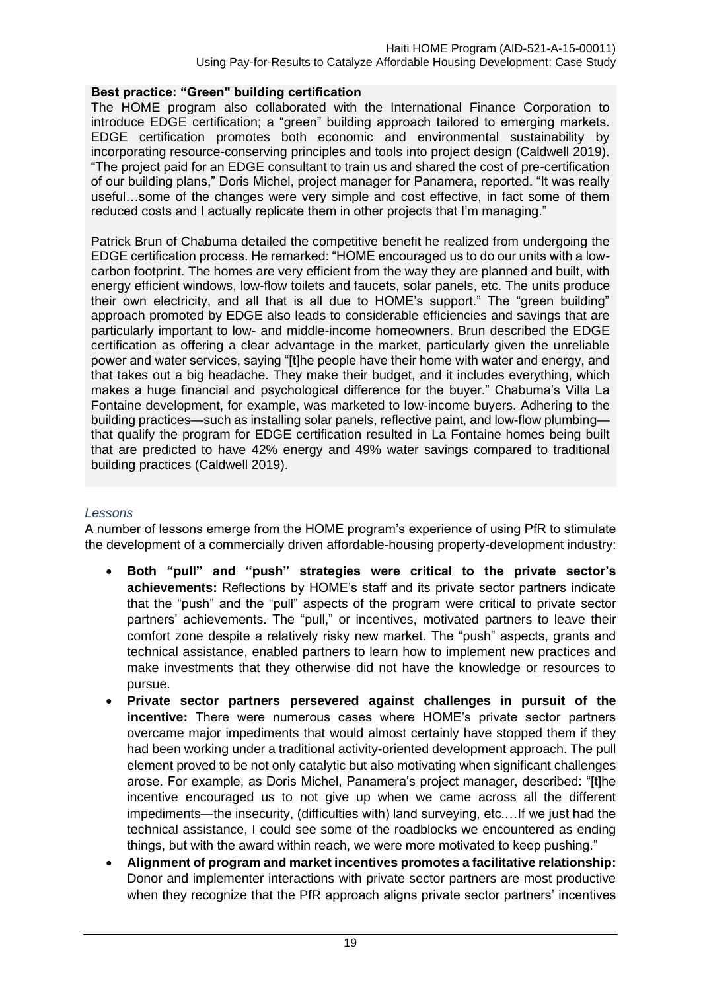## **Best practice: "Green" building certification**

The HOME program also collaborated with the International Finance Corporation to introduce EDGE certification; a "green" building approach tailored to emerging markets. EDGE certification promotes both economic and environmental sustainability by incorporating resource-conserving principles and tools into project design (Caldwell 2019). "The project paid for an EDGE consultant to train us and shared the cost of pre-certification of our building plans," Doris Michel, project manager for Panamera, reported. "It was really useful…some of the changes were very simple and cost effective, in fact some of them reduced costs and I actually replicate them in other projects that I'm managing."

Patrick Brun of Chabuma detailed the competitive benefit he realized from undergoing the EDGE certification process. He remarked: "HOME encouraged us to do our units with a lowcarbon footprint. The homes are very efficient from the way they are planned and built, with energy efficient windows, low-flow toilets and faucets, solar panels, etc. The units produce their own electricity, and all that is all due to HOME's support." The "green building" approach promoted by EDGE also leads to considerable efficiencies and savings that are particularly important to low- and middle-income homeowners. Brun described the EDGE certification as offering a clear advantage in the market, particularly given the unreliable power and water services, saying "[t]he people have their home with water and energy, and that takes out a big headache. They make their budget, and it includes everything, which makes a huge financial and psychological difference for the buyer." Chabuma's Villa La Fontaine development, for example, was marketed to low-income buyers. Adhering to the building practices—such as installing solar panels, reflective paint, and low-flow plumbing that qualify the program for EDGE certification resulted in La Fontaine homes being built that are predicted to have 42% energy and 49% water savings compared to traditional building practices (Caldwell 2019).

## *Lessons*

A number of lessons emerge from the HOME program's experience of using PfR to stimulate the development of a commercially driven affordable-housing property-development industry:

- **Both "pull" and "push" strategies were critical to the private sector's achievements:** Reflections by HOME's staff and its private sector partners indicate that the "push" and the "pull" aspects of the program were critical to private sector partners' achievements. The "pull," or incentives, motivated partners to leave their comfort zone despite a relatively risky new market. The "push" aspects, grants and technical assistance, enabled partners to learn how to implement new practices and make investments that they otherwise did not have the knowledge or resources to pursue.
- **Private sector partners persevered against challenges in pursuit of the incentive:** There were numerous cases where HOME's private sector partners overcame major impediments that would almost certainly have stopped them if they had been working under a traditional activity-oriented development approach. The pull element proved to be not only catalytic but also motivating when significant challenges arose. For example, as Doris Michel, Panamera's project manager, described: "[t]he incentive encouraged us to not give up when we came across all the different impediments—the insecurity, (difficulties with) land surveying, etc.…If we just had the technical assistance, I could see some of the roadblocks we encountered as ending things, but with the award within reach, we were more motivated to keep pushing."
- **Alignment of program and market incentives promotes a facilitative relationship:** Donor and implementer interactions with private sector partners are most productive when they recognize that the PfR approach aligns private sector partners' incentives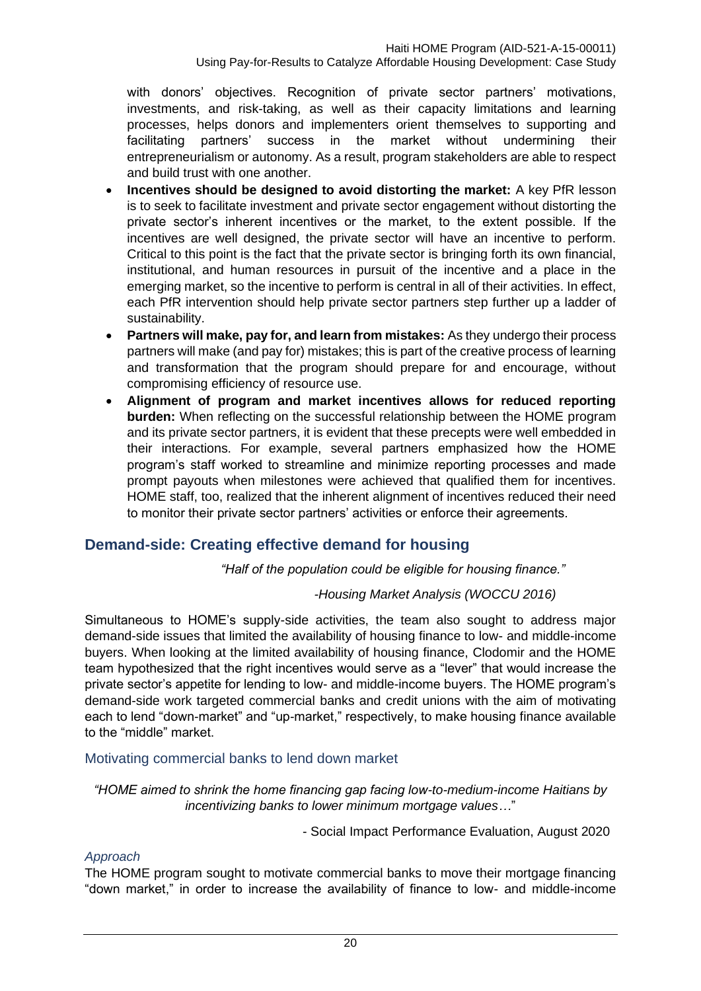with donors' objectives. Recognition of private sector partners' motivations, investments, and risk-taking, as well as their capacity limitations and learning processes, helps donors and implementers orient themselves to supporting and facilitating partners' success in the market without undermining their entrepreneurialism or autonomy. As a result, program stakeholders are able to respect and build trust with one another.

- **Incentives should be designed to avoid distorting the market:** A key PfR lesson is to seek to facilitate investment and private sector engagement without distorting the private sector's inherent incentives or the market, to the extent possible. If the incentives are well designed, the private sector will have an incentive to perform. Critical to this point is the fact that the private sector is bringing forth its own financial, institutional, and human resources in pursuit of the incentive and a place in the emerging market, so the incentive to perform is central in all of their activities. In effect, each PfR intervention should help private sector partners step further up a ladder of sustainability.
- **Partners will make, pay for, and learn from mistakes:** As they undergo their process partners will make (and pay for) mistakes; this is part of the creative process of learning and transformation that the program should prepare for and encourage, without compromising efficiency of resource use.
- **Alignment of program and market incentives allows for reduced reporting burden:** When reflecting on the successful relationship between the HOME program and its private sector partners, it is evident that these precepts were well embedded in their interactions. For example, several partners emphasized how the HOME program's staff worked to streamline and minimize reporting processes and made prompt payouts when milestones were achieved that qualified them for incentives. HOME staff, too, realized that the inherent alignment of incentives reduced their need to monitor their private sector partners' activities or enforce their agreements.

## <span id="page-23-0"></span>**Demand-side: Creating effective demand for housing**

*"Half of the population could be eligible for housing finance."*

## *-Housing Market Analysis (WOCCU 2016)*

Simultaneous to HOME's supply-side activities, the team also sought to address major demand-side issues that limited the availability of housing finance to low- and middle-income buyers. When looking at the limited availability of housing finance, Clodomir and the HOME team hypothesized that the right incentives would serve as a "lever" that would increase the private sector's appetite for lending to low- and middle-income buyers. The HOME program's demand-side work targeted commercial banks and credit unions with the aim of motivating each to lend "down-market" and "up-market," respectively, to make housing finance available to the "middle" market.

## <span id="page-23-1"></span>Motivating commercial banks to lend down market

*"HOME aimed to shrink the home financing gap facing low-to-medium-income Haitians by incentivizing banks to lower minimum mortgage values…*"

- Social Impact Performance Evaluation, August 2020

## *Approach*

The HOME program sought to motivate commercial banks to move their mortgage financing "down market," in order to increase the availability of finance to low- and middle-income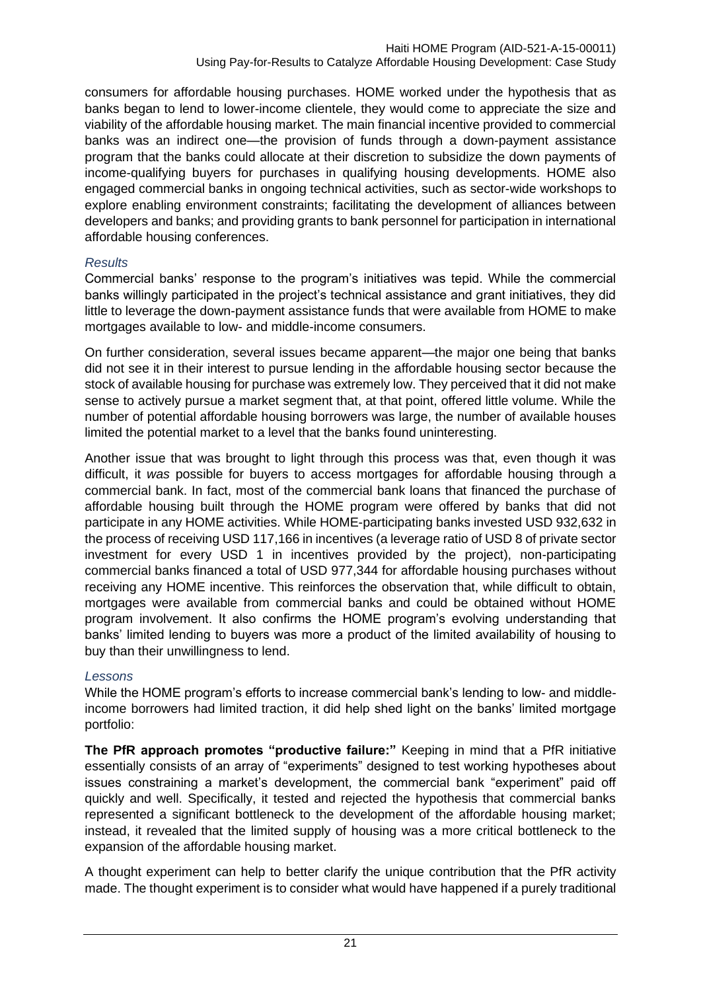consumers for affordable housing purchases. HOME worked under the hypothesis that as banks began to lend to lower-income clientele, they would come to appreciate the size and viability of the affordable housing market. The main financial incentive provided to commercial banks was an indirect one—the provision of funds through a down-payment assistance program that the banks could allocate at their discretion to subsidize the down payments of income-qualifying buyers for purchases in qualifying housing developments. HOME also engaged commercial banks in ongoing technical activities, such as sector-wide workshops to explore enabling environment constraints; facilitating the development of alliances between developers and banks; and providing grants to bank personnel for participation in international affordable housing conferences.

## *Results*

Commercial banks' response to the program's initiatives was tepid. While the commercial banks willingly participated in the project's technical assistance and grant initiatives, they did little to leverage the down-payment assistance funds that were available from HOME to make mortgages available to low- and middle-income consumers.

On further consideration, several issues became apparent—the major one being that banks did not see it in their interest to pursue lending in the affordable housing sector because the stock of available housing for purchase was extremely low. They perceived that it did not make sense to actively pursue a market segment that, at that point, offered little volume. While the number of potential affordable housing borrowers was large, the number of available houses limited the potential market to a level that the banks found uninteresting.

Another issue that was brought to light through this process was that, even though it was difficult, it *was* possible for buyers to access mortgages for affordable housing through a commercial bank. In fact, most of the commercial bank loans that financed the purchase of affordable housing built through the HOME program were offered by banks that did not participate in any HOME activities. While HOME-participating banks invested USD 932,632 in the process of receiving USD 117,166 in incentives (a leverage ratio of USD 8 of private sector investment for every USD 1 in incentives provided by the project), non-participating commercial banks financed a total of USD 977,344 for affordable housing purchases without receiving any HOME incentive. This reinforces the observation that, while difficult to obtain, mortgages were available from commercial banks and could be obtained without HOME program involvement. It also confirms the HOME program's evolving understanding that banks' limited lending to buyers was more a product of the limited availability of housing to buy than their unwillingness to lend.

## *Lessons*

While the HOME program's efforts to increase commercial bank's lending to low- and middleincome borrowers had limited traction, it did help shed light on the banks' limited mortgage portfolio:

**The PfR approach promotes "productive failure:"** Keeping in mind that a PfR initiative essentially consists of an array of "experiments" designed to test working hypotheses about issues constraining a market's development, the commercial bank "experiment" paid off quickly and well. Specifically, it tested and rejected the hypothesis that commercial banks represented a significant bottleneck to the development of the affordable housing market; instead, it revealed that the limited supply of housing was a more critical bottleneck to the expansion of the affordable housing market.

A thought experiment can help to better clarify the unique contribution that the PfR activity made. The thought experiment is to consider what would have happened if a purely traditional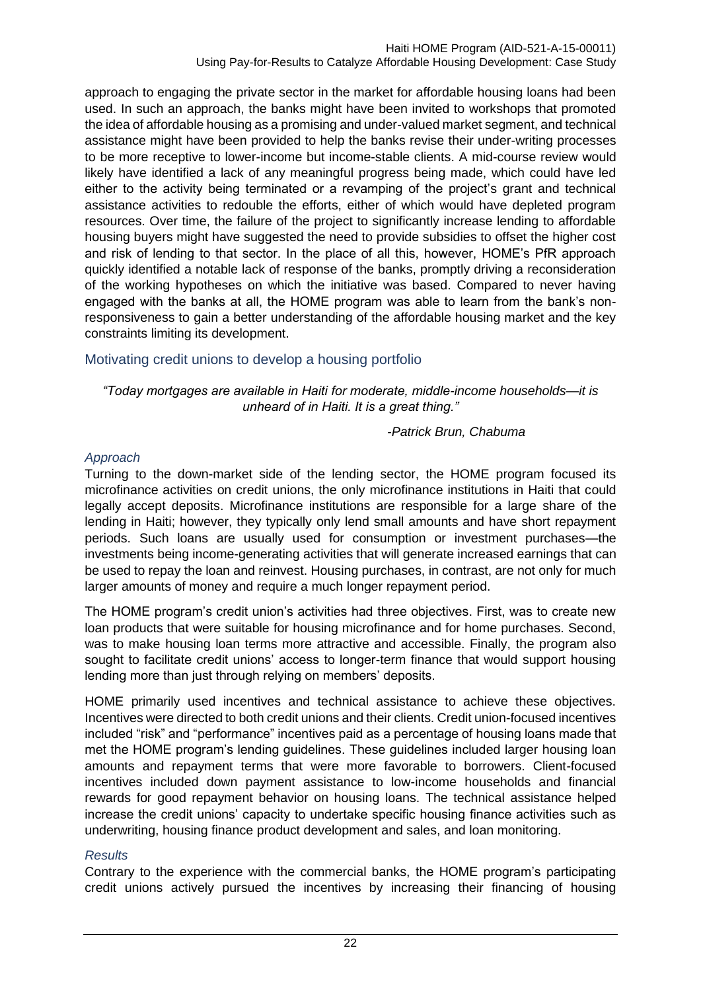approach to engaging the private sector in the market for affordable housing loans had been used. In such an approach, the banks might have been invited to workshops that promoted the idea of affordable housing as a promising and under-valued market segment, and technical assistance might have been provided to help the banks revise their under-writing processes to be more receptive to lower-income but income-stable clients. A mid-course review would likely have identified a lack of any meaningful progress being made, which could have led either to the activity being terminated or a revamping of the project's grant and technical assistance activities to redouble the efforts, either of which would have depleted program resources. Over time, the failure of the project to significantly increase lending to affordable housing buyers might have suggested the need to provide subsidies to offset the higher cost and risk of lending to that sector. In the place of all this, however, HOME's PfR approach quickly identified a notable lack of response of the banks, promptly driving a reconsideration of the working hypotheses on which the initiative was based. Compared to never having engaged with the banks at all, the HOME program was able to learn from the bank's nonresponsiveness to gain a better understanding of the affordable housing market and the key constraints limiting its development.

## <span id="page-25-0"></span>Motivating credit unions to develop a housing portfolio

#### *"Today mortgages are available in Haiti for moderate, middle-income households—it is unheard of in Haiti. It is a great thing."*

#### *-Patrick Brun, Chabuma*

## *Approach*

Turning to the down-market side of the lending sector, the HOME program focused its microfinance activities on credit unions, the only microfinance institutions in Haiti that could legally accept deposits. Microfinance institutions are responsible for a large share of the lending in Haiti; however, they typically only lend small amounts and have short repayment periods. Such loans are usually used for consumption or investment purchases—the investments being income-generating activities that will generate increased earnings that can be used to repay the loan and reinvest. Housing purchases, in contrast, are not only for much larger amounts of money and require a much longer repayment period.

The HOME program's credit union's activities had three objectives. First, was to create new loan products that were suitable for housing microfinance and for home purchases. Second, was to make housing loan terms more attractive and accessible. Finally, the program also sought to facilitate credit unions' access to longer-term finance that would support housing lending more than just through relying on members' deposits.

HOME primarily used incentives and technical assistance to achieve these objectives. Incentives were directed to both credit unions and their clients. Credit union-focused incentives included "risk" and "performance" incentives paid as a percentage of housing loans made that met the HOME program's lending guidelines. These guidelines included larger housing loan amounts and repayment terms that were more favorable to borrowers. Client-focused incentives included down payment assistance to low-income households and financial rewards for good repayment behavior on housing loans. The technical assistance helped increase the credit unions' capacity to undertake specific housing finance activities such as underwriting, housing finance product development and sales, and loan monitoring.

#### *Results*

Contrary to the experience with the commercial banks, the HOME program's participating credit unions actively pursued the incentives by increasing their financing of housing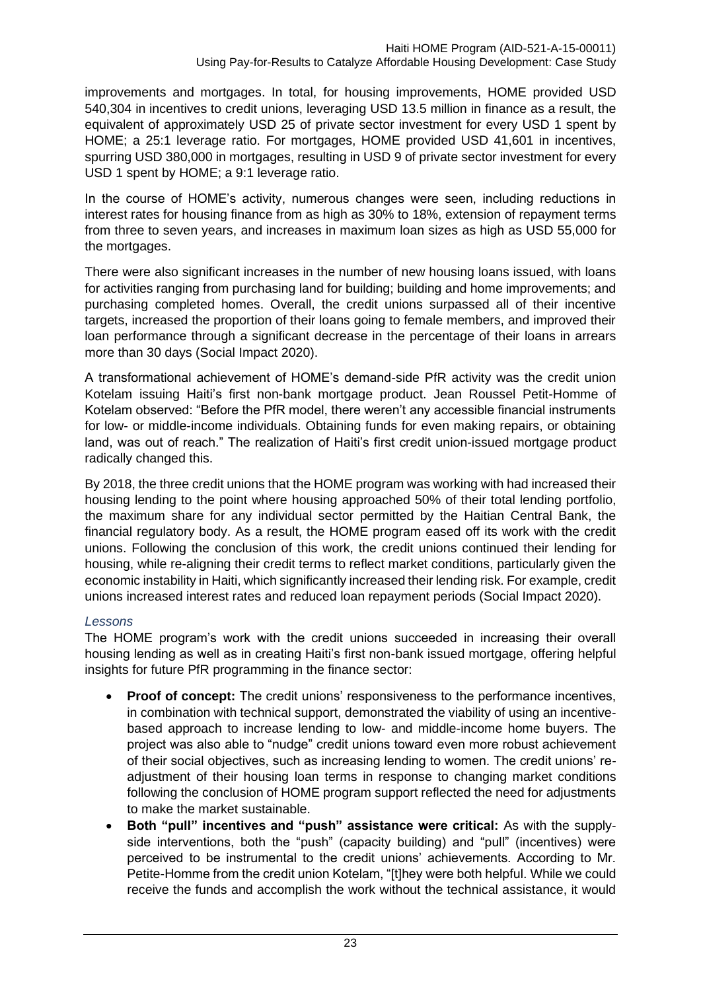improvements and mortgages. In total, for housing improvements, HOME provided USD 540,304 in incentives to credit unions, leveraging USD 13.5 million in finance as a result, the equivalent of approximately USD 25 of private sector investment for every USD 1 spent by HOME; a 25:1 leverage ratio. For mortgages, HOME provided USD 41,601 in incentives, spurring USD 380,000 in mortgages, resulting in USD 9 of private sector investment for every USD 1 spent by HOME; a 9:1 leverage ratio.

In the course of HOME's activity, numerous changes were seen, including reductions in interest rates for housing finance from as high as 30% to 18%, extension of repayment terms from three to seven years, and increases in maximum loan sizes as high as USD 55,000 for the mortgages.

There were also significant increases in the number of new housing loans issued, with loans for activities ranging from purchasing land for building; building and home improvements; and purchasing completed homes. Overall, the credit unions surpassed all of their incentive targets, increased the proportion of their loans going to female members, and improved their loan performance through a significant decrease in the percentage of their loans in arrears more than 30 days (Social Impact 2020).

A transformational achievement of HOME's demand-side PfR activity was the credit union Kotelam issuing Haiti's first non-bank mortgage product. Jean Roussel Petit-Homme of Kotelam observed: "Before the PfR model, there weren't any accessible financial instruments for low- or middle-income individuals. Obtaining funds for even making repairs, or obtaining land, was out of reach." The realization of Haiti's first credit union-issued mortgage product radically changed this.

By 2018, the three credit unions that the HOME program was working with had increased their housing lending to the point where housing approached 50% of their total lending portfolio, the maximum share for any individual sector permitted by the Haitian Central Bank, the financial regulatory body. As a result, the HOME program eased off its work with the credit unions. Following the conclusion of this work, the credit unions continued their lending for housing, while re-aligning their credit terms to reflect market conditions, particularly given the economic instability in Haiti, which significantly increased their lending risk. For example, credit unions increased interest rates and reduced loan repayment periods (Social Impact 2020).

## *Lessons*

The HOME program's work with the credit unions succeeded in increasing their overall housing lending as well as in creating Haiti's first non-bank issued mortgage, offering helpful insights for future PfR programming in the finance sector:

- **Proof of concept:** The credit unions' responsiveness to the performance incentives, in combination with technical support, demonstrated the viability of using an incentivebased approach to increase lending to low- and middle-income home buyers. The project was also able to "nudge" credit unions toward even more robust achievement of their social objectives, such as increasing lending to women. The credit unions' readjustment of their housing loan terms in response to changing market conditions following the conclusion of HOME program support reflected the need for adjustments to make the market sustainable.
- **Both "pull" incentives and "push" assistance were critical:** As with the supplyside interventions, both the "push" (capacity building) and "pull" (incentives) were perceived to be instrumental to the credit unions' achievements. According to Mr. Petite-Homme from the credit union Kotelam, "[t]hey were both helpful. While we could receive the funds and accomplish the work without the technical assistance, it would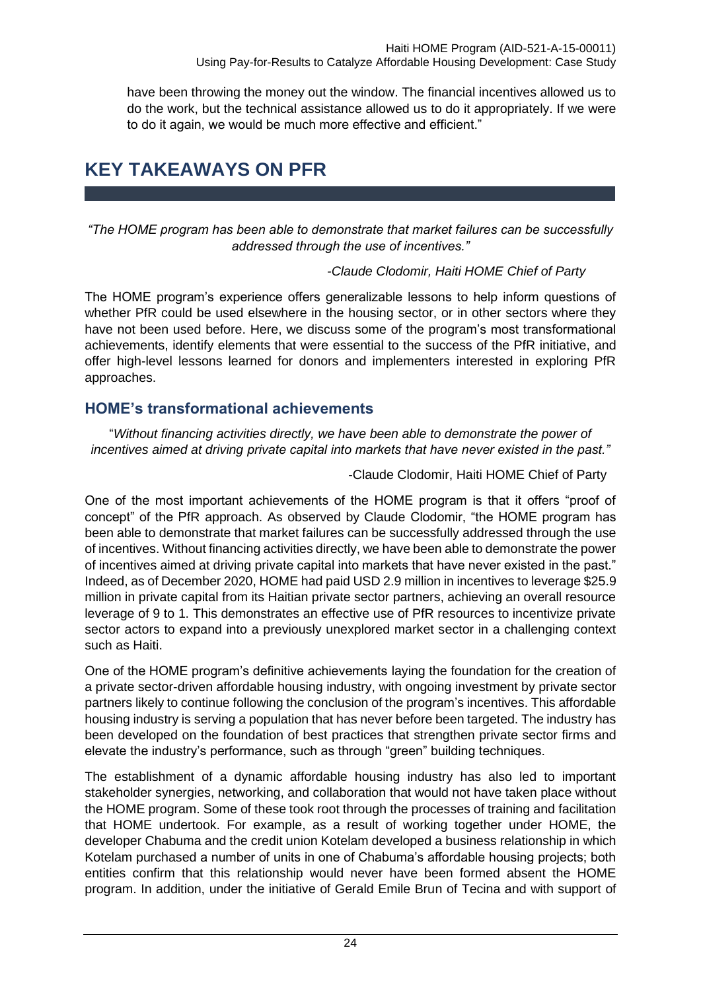have been throwing the money out the window. The financial incentives allowed us to do the work, but the technical assistance allowed us to do it appropriately. If we were to do it again, we would be much more effective and efficient."

## <span id="page-27-0"></span>**KEY TAKEAWAYS ON PFR**

*"The HOME program has been able to demonstrate that market failures can be successfully addressed through the use of incentives."*

## *-Claude Clodomir, Haiti HOME Chief of Party*

The HOME program's experience offers generalizable lessons to help inform questions of whether PfR could be used elsewhere in the housing sector, or in other sectors where they have not been used before. Here, we discuss some of the program's most transformational achievements, identify elements that were essential to the success of the PfR initiative, and offer high-level lessons learned for donors and implementers interested in exploring PfR approaches.

## <span id="page-27-1"></span>**HOME's transformational achievements**

"*Without financing activities directly, we have been able to demonstrate the power of incentives aimed at driving private capital into markets that have never existed in the past."*

-Claude Clodomir, Haiti HOME Chief of Party

One of the most important achievements of the HOME program is that it offers "proof of concept" of the PfR approach. As observed by Claude Clodomir, "the HOME program has been able to demonstrate that market failures can be successfully addressed through the use of incentives. Without financing activities directly, we have been able to demonstrate the power of incentives aimed at driving private capital into markets that have never existed in the past." Indeed, as of December 2020, HOME had paid USD 2.9 million in incentives to leverage \$25.9 million in private capital from its Haitian private sector partners, achieving an overall resource leverage of 9 to 1. This demonstrates an effective use of PfR resources to incentivize private sector actors to expand into a previously unexplored market sector in a challenging context such as Haiti.

One of the HOME program's definitive achievements laying the foundation for the creation of a private sector-driven affordable housing industry, with ongoing investment by private sector partners likely to continue following the conclusion of the program's incentives. This affordable housing industry is serving a population that has never before been targeted. The industry has been developed on the foundation of best practices that strengthen private sector firms and elevate the industry's performance, such as through "green" building techniques.

The establishment of a dynamic affordable housing industry has also led to important stakeholder synergies, networking, and collaboration that would not have taken place without the HOME program. Some of these took root through the processes of training and facilitation that HOME undertook. For example, as a result of working together under HOME, the developer Chabuma and the credit union Kotelam developed a business relationship in which Kotelam purchased a number of units in one of Chabuma's affordable housing projects; both entities confirm that this relationship would never have been formed absent the HOME program. In addition, under the initiative of Gerald Emile Brun of Tecina and with support of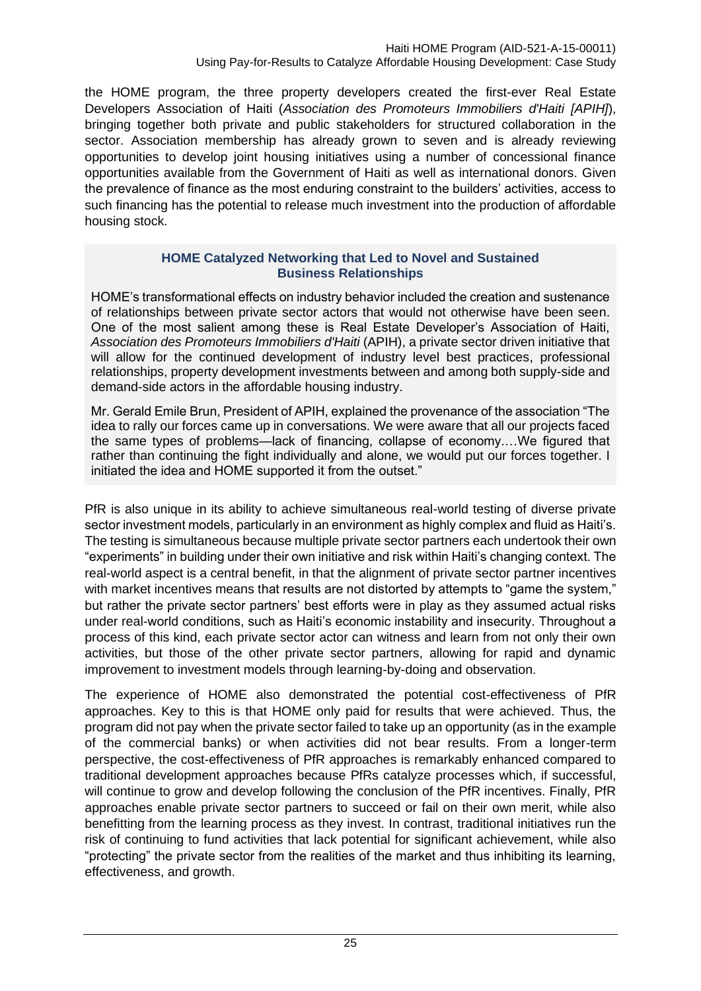the HOME program, the three property developers created the first-ever Real Estate Developers Association of Haiti (*Association des Promoteurs Immobiliers d'Haiti [APIH]*), bringing together both private and public stakeholders for structured collaboration in the sector. Association membership has already grown to seven and is already reviewing opportunities to develop joint housing initiatives using a number of concessional finance opportunities available from the Government of Haiti as well as international donors. Given the prevalence of finance as the most enduring constraint to the builders' activities, access to such financing has the potential to release much investment into the production of affordable housing stock.

#### **HOME Catalyzed Networking that Led to Novel and Sustained Business Relationships**

HOME's transformational effects on industry behavior included the creation and sustenance of relationships between private sector actors that would not otherwise have been seen. One of the most salient among these is Real Estate Developer's Association of Haiti, *Association des Promoteurs Immobiliers d'Haiti* (APIH), a private sector driven initiative that will allow for the continued development of industry level best practices, professional relationships, property development investments between and among both supply-side and demand-side actors in the affordable housing industry.

Mr. Gerald Emile Brun, President of APIH, explained the provenance of the association "The idea to rally our forces came up in conversations. We were aware that all our projects faced the same types of problems—lack of financing, collapse of economy.…We figured that rather than continuing the fight individually and alone, we would put our forces together. I initiated the idea and HOME supported it from the outset."

PfR is also unique in its ability to achieve simultaneous real-world testing of diverse private sector investment models, particularly in an environment as highly complex and fluid as Haiti's. The testing is simultaneous because multiple private sector partners each undertook their own "experiments" in building under their own initiative and risk within Haiti's changing context. The real-world aspect is a central benefit, in that the alignment of private sector partner incentives with market incentives means that results are not distorted by attempts to "game the system," but rather the private sector partners' best efforts were in play as they assumed actual risks under real-world conditions, such as Haiti's economic instability and insecurity. Throughout a process of this kind, each private sector actor can witness and learn from not only their own activities, but those of the other private sector partners, allowing for rapid and dynamic improvement to investment models through learning-by-doing and observation.

The experience of HOME also demonstrated the potential cost-effectiveness of PfR approaches. Key to this is that HOME only paid for results that were achieved. Thus, the program did not pay when the private sector failed to take up an opportunity (as in the example of the commercial banks) or when activities did not bear results. From a longer-term perspective, the cost-effectiveness of PfR approaches is remarkably enhanced compared to traditional development approaches because PfRs catalyze processes which, if successful, will continue to grow and develop following the conclusion of the PfR incentives. Finally, PfR approaches enable private sector partners to succeed or fail on their own merit, while also benefitting from the learning process as they invest. In contrast, traditional initiatives run the risk of continuing to fund activities that lack potential for significant achievement, while also "protecting" the private sector from the realities of the market and thus inhibiting its learning, effectiveness, and growth.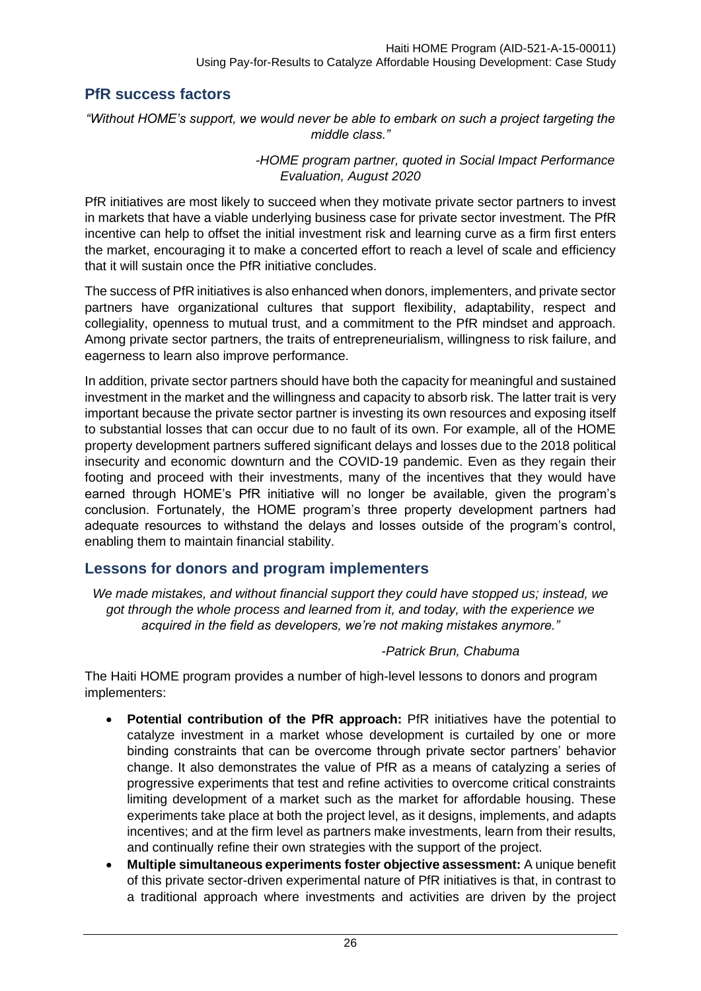## <span id="page-29-0"></span>**PfR success factors**

*"Without HOME's support, we would never be able to embark on such a project targeting the middle class."*

#### *-HOME program partner, quoted in Social Impact Performance Evaluation, August 2020*

PfR initiatives are most likely to succeed when they motivate private sector partners to invest in markets that have a viable underlying business case for private sector investment. The PfR incentive can help to offset the initial investment risk and learning curve as a firm first enters the market, encouraging it to make a concerted effort to reach a level of scale and efficiency that it will sustain once the PfR initiative concludes.

The success of PfR initiatives is also enhanced when donors, implementers, and private sector partners have organizational cultures that support flexibility, adaptability, respect and collegiality, openness to mutual trust, and a commitment to the PfR mindset and approach. Among private sector partners, the traits of entrepreneurialism, willingness to risk failure, and eagerness to learn also improve performance.

In addition, private sector partners should have both the capacity for meaningful and sustained investment in the market and the willingness and capacity to absorb risk. The latter trait is very important because the private sector partner is investing its own resources and exposing itself to substantial losses that can occur due to no fault of its own. For example, all of the HOME property development partners suffered significant delays and losses due to the 2018 political insecurity and economic downturn and the COVID-19 pandemic. Even as they regain their footing and proceed with their investments, many of the incentives that they would have earned through HOME's PfR initiative will no longer be available, given the program's conclusion. Fortunately, the HOME program's three property development partners had adequate resources to withstand the delays and losses outside of the program's control, enabling them to maintain financial stability.

## <span id="page-29-1"></span>**Lessons for donors and program implementers**

*We made mistakes, and without financial support they could have stopped us; instead, we got through the whole process and learned from it, and today, with the experience we acquired in the field as developers, we're not making mistakes anymore."*

## *-Patrick Brun, Chabuma*

The Haiti HOME program provides a number of high-level lessons to donors and program implementers:

- **Potential contribution of the PfR approach:** PfR initiatives have the potential to catalyze investment in a market whose development is curtailed by one or more binding constraints that can be overcome through private sector partners' behavior change. It also demonstrates the value of PfR as a means of catalyzing a series of progressive experiments that test and refine activities to overcome critical constraints limiting development of a market such as the market for affordable housing. These experiments take place at both the project level, as it designs, implements, and adapts incentives; and at the firm level as partners make investments, learn from their results, and continually refine their own strategies with the support of the project.
- **Multiple simultaneous experiments foster objective assessment:** A unique benefit of this private sector-driven experimental nature of PfR initiatives is that, in contrast to a traditional approach where investments and activities are driven by the project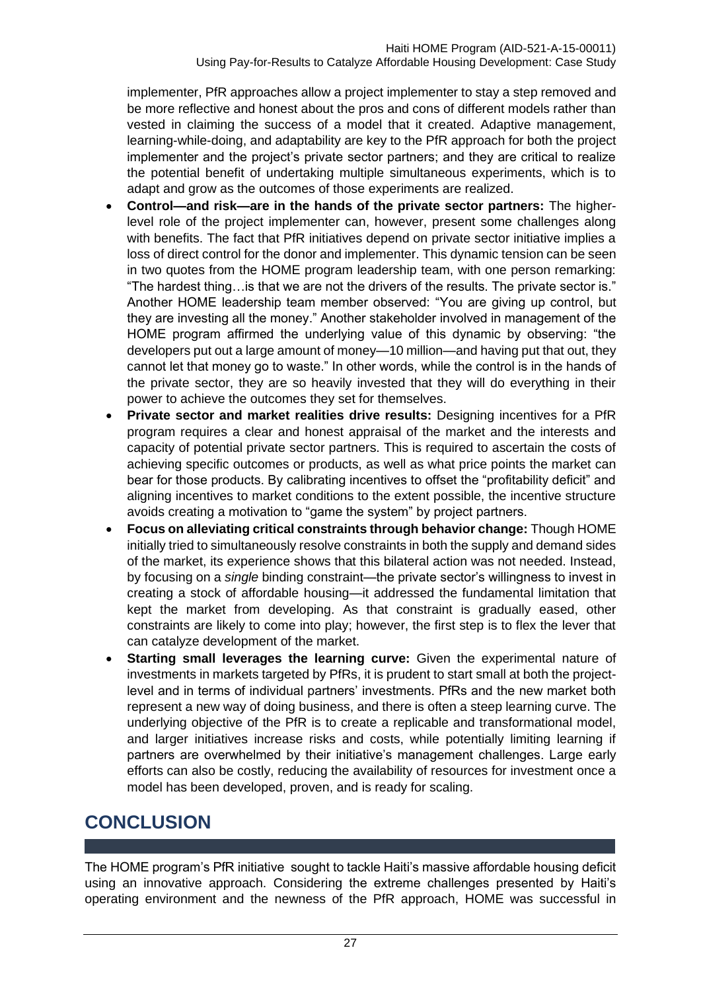implementer, PfR approaches allow a project implementer to stay a step removed and be more reflective and honest about the pros and cons of different models rather than vested in claiming the success of a model that it created. Adaptive management, learning-while-doing, and adaptability are key to the PfR approach for both the project implementer and the project's private sector partners; and they are critical to realize the potential benefit of undertaking multiple simultaneous experiments, which is to adapt and grow as the outcomes of those experiments are realized.

- **Control—and risk—are in the hands of the private sector partners:** The higherlevel role of the project implementer can, however, present some challenges along with benefits. The fact that PfR initiatives depend on private sector initiative implies a loss of direct control for the donor and implementer. This dynamic tension can be seen in two quotes from the HOME program leadership team, with one person remarking: "The hardest thing…is that we are not the drivers of the results. The private sector is." Another HOME leadership team member observed: "You are giving up control, but they are investing all the money." Another stakeholder involved in management of the HOME program affirmed the underlying value of this dynamic by observing: "the developers put out a large amount of money—10 million—and having put that out, they cannot let that money go to waste." In other words, while the control is in the hands of the private sector, they are so heavily invested that they will do everything in their power to achieve the outcomes they set for themselves.
- **Private sector and market realities drive results:** Designing incentives for a PfR program requires a clear and honest appraisal of the market and the interests and capacity of potential private sector partners. This is required to ascertain the costs of achieving specific outcomes or products, as well as what price points the market can bear for those products. By calibrating incentives to offset the "profitability deficit" and aligning incentives to market conditions to the extent possible, the incentive structure avoids creating a motivation to "game the system" by project partners.
- **Focus on alleviating critical constraints through behavior change:** Though HOME initially tried to simultaneously resolve constraints in both the supply and demand sides of the market, its experience shows that this bilateral action was not needed. Instead, by focusing on a *single* binding constraint—the private sector's willingness to invest in creating a stock of affordable housing—it addressed the fundamental limitation that kept the market from developing. As that constraint is gradually eased, other constraints are likely to come into play; however, the first step is to flex the lever that can catalyze development of the market.
- **Starting small leverages the learning curve:** Given the experimental nature of investments in markets targeted by PfRs, it is prudent to start small at both the projectlevel and in terms of individual partners' investments. PfRs and the new market both represent a new way of doing business, and there is often a steep learning curve. The underlying objective of the PfR is to create a replicable and transformational model, and larger initiatives increase risks and costs, while potentially limiting learning if partners are overwhelmed by their initiative's management challenges. Large early efforts can also be costly, reducing the availability of resources for investment once a model has been developed, proven, and is ready for scaling.

## <span id="page-30-0"></span>**CONCLUSION**

The HOME program's PfR initiative sought to tackle Haiti's massive affordable housing deficit using an innovative approach. Considering the extreme challenges presented by Haiti's operating environment and the newness of the PfR approach, HOME was successful in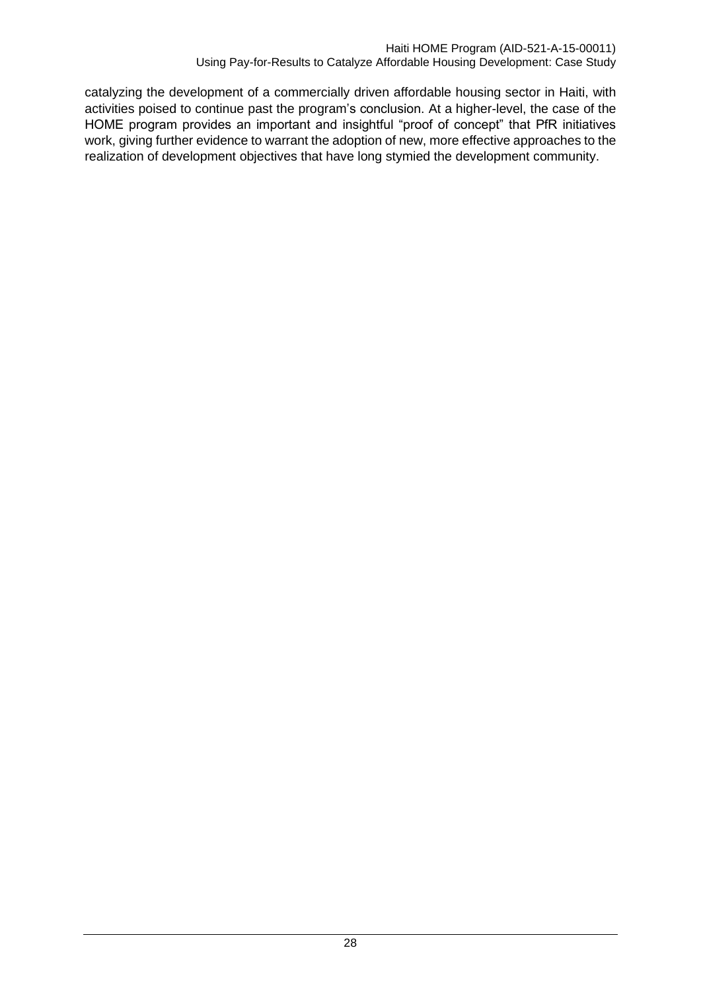catalyzing the development of a commercially driven affordable housing sector in Haiti, with activities poised to continue past the program's conclusion. At a higher-level, the case of the HOME program provides an important and insightful "proof of concept" that PfR initiatives work, giving further evidence to warrant the adoption of new, more effective approaches to the realization of development objectives that have long stymied the development community.